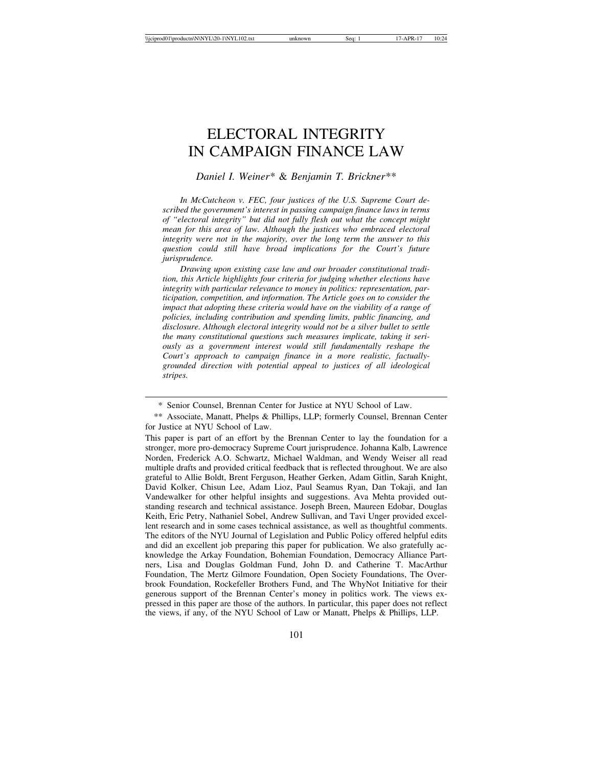# ELECTORAL INTEGRITY IN CAMPAIGN FINANCE LAW

## *Daniel I. Weiner*\* & *Benjamin T. Brickner*\*\*

*In McCutcheon v. FEC, four justices of the U.S. Supreme Court described the government's interest in passing campaign finance laws in terms of "electoral integrity" but did not fully flesh out what the concept might mean for this area of law. Although the justices who embraced electoral integrity were not in the majority, over the long term the answer to this question could still have broad implications for the Court's future jurisprudence.*

*Drawing upon existing case law and our broader constitutional tradition, this Article highlights four criteria for judging whether elections have integrity with particular relevance to money in politics: representation, participation, competition, and information. The Article goes on to consider the impact that adopting these criteria would have on the viability of a range of policies, including contribution and spending limits, public financing, and disclosure. Although electoral integrity would not be a silver bullet to settle the many constitutional questions such measures implicate, taking it seriously as a government interest would still fundamentally reshape the Court's approach to campaign finance in a more realistic, factuallygrounded direction with potential appeal to justices of all ideological stripes.*

<sup>\*</sup> Senior Counsel, Brennan Center for Justice at NYU School of Law.

<sup>\*\*</sup> Associate, Manatt, Phelps & Phillips, LLP; formerly Counsel, Brennan Center for Justice at NYU School of Law.

This paper is part of an effort by the Brennan Center to lay the foundation for a stronger, more pro-democracy Supreme Court jurisprudence. Johanna Kalb, Lawrence Norden, Frederick A.O. Schwartz, Michael Waldman, and Wendy Weiser all read multiple drafts and provided critical feedback that is reflected throughout. We are also grateful to Allie Boldt, Brent Ferguson, Heather Gerken, Adam Gitlin, Sarah Knight, David Kolker, Chisun Lee, Adam Lioz, Paul Seamus Ryan, Dan Tokaji, and Ian Vandewalker for other helpful insights and suggestions. Ava Mehta provided outstanding research and technical assistance. Joseph Breen, Maureen Edobar, Douglas Keith, Eric Petry, Nathaniel Sobel, Andrew Sullivan, and Tavi Unger provided excellent research and in some cases technical assistance, as well as thoughtful comments. The editors of the NYU Journal of Legislation and Public Policy offered helpful edits and did an excellent job preparing this paper for publication. We also gratefully acknowledge the Arkay Foundation, Bohemian Foundation, Democracy Alliance Partners, Lisa and Douglas Goldman Fund, John D. and Catherine T. MacArthur Foundation, The Mertz Gilmore Foundation, Open Society Foundations, The Overbrook Foundation, Rockefeller Brothers Fund, and The WhyNot Initiative for their generous support of the Brennan Center's money in politics work. The views expressed in this paper are those of the authors. In particular, this paper does not reflect the views, if any, of the NYU School of Law or Manatt, Phelps & Phillips, LLP.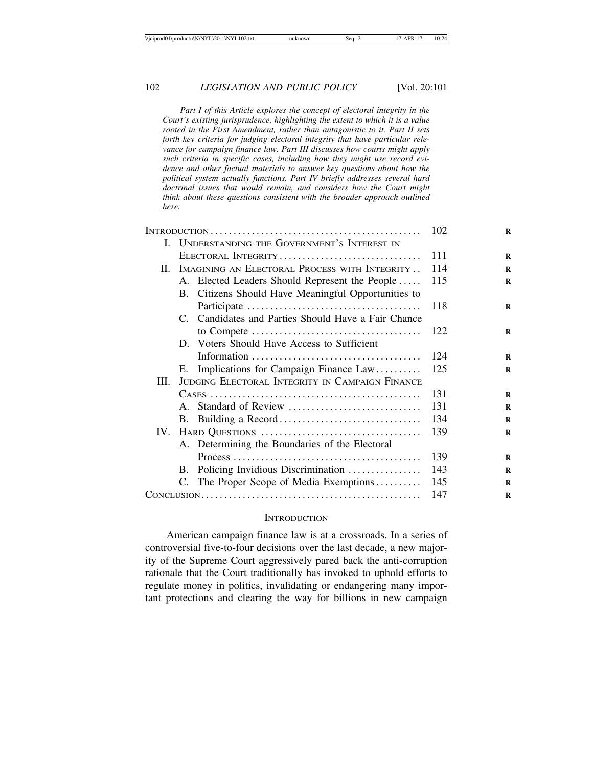*Part I of this Article explores the concept of electoral integrity in the Court's existing jurisprudence, highlighting the extent to which it is a value rooted in the First Amendment, rather than antagonistic to it. Part II sets forth key criteria for judging electoral integrity that have particular relevance for campaign finance law. Part III discusses how courts might apply such criteria in specific cases, including how they might use record evidence and other factual materials to answer key questions about how the political system actually functions. Part IV briefly addresses several hard doctrinal issues that would remain, and considers how the Court might think about these questions consistent with the broader approach outlined here.*

| L. |                     | UNDERSTANDING THE GOVERNMENT'S INTEREST IN                                                    |     |
|----|---------------------|-----------------------------------------------------------------------------------------------|-----|
|    | ELECTORAL INTEGRITY |                                                                                               | 111 |
|    |                     | II. IMAGINING AN ELECTORAL PROCESS WITH INTEGRITY                                             | 114 |
|    |                     | A. Elected Leaders Should Represent the People                                                | 115 |
|    |                     | B. Citizens Should Have Meaningful Opportunities to                                           |     |
|    |                     |                                                                                               | 118 |
|    |                     | C. Candidates and Parties Should Have a Fair Chance                                           |     |
|    |                     |                                                                                               | 122 |
|    |                     | D. Voters Should Have Access to Sufficient                                                    |     |
|    |                     |                                                                                               | 124 |
|    | E.                  | Implications for Campaign Finance Law                                                         | 125 |
| Ш. |                     | JUDGING ELECTORAL INTEGRITY IN CAMPAIGN FINANCE                                               |     |
|    |                     |                                                                                               | 131 |
|    |                     |                                                                                               | 131 |
|    |                     |                                                                                               | 134 |
|    |                     |                                                                                               | 139 |
|    |                     | A. Determining the Boundaries of the Electoral                                                |     |
|    |                     | $Process \dots \dots \dots \dots \dots \dots \dots \dots \dots \dots \dots \dots \dots \dots$ | 139 |
|    |                     | B. Policing Invidious Discrimination                                                          | 143 |
|    |                     | C. The Proper Scope of Media Exemptions                                                       | 145 |
|    |                     |                                                                                               | 147 |

#### **INTRODUCTION**

American campaign finance law is at a crossroads. In a series of controversial five-to-four decisions over the last decade, a new majority of the Supreme Court aggressively pared back the anti-corruption rationale that the Court traditionally has invoked to uphold efforts to regulate money in politics, invalidating or endangering many important protections and clearing the way for billions in new campaign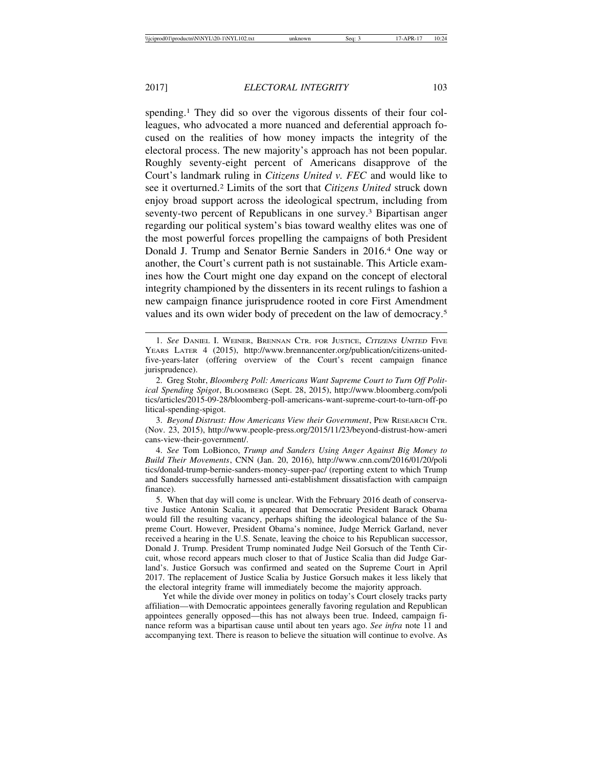spending.<sup>1</sup> They did so over the vigorous dissents of their four colleagues, who advocated a more nuanced and deferential approach focused on the realities of how money impacts the integrity of the electoral process. The new majority's approach has not been popular. Roughly seventy-eight percent of Americans disapprove of the Court's landmark ruling in *Citizens United v. FEC* and would like to see it overturned.2 Limits of the sort that *Citizens United* struck down enjoy broad support across the ideological spectrum, including from seventy-two percent of Republicans in one survey.<sup>3</sup> Bipartisan anger regarding our political system's bias toward wealthy elites was one of the most powerful forces propelling the campaigns of both President Donald J. Trump and Senator Bernie Sanders in 2016.4 One way or another, the Court's current path is not sustainable. This Article examines how the Court might one day expand on the concept of electoral integrity championed by the dissenters in its recent rulings to fashion a new campaign finance jurisprudence rooted in core First Amendment values and its own wider body of precedent on the law of democracy.5

<sup>1.</sup> *See* DANIEL I. WEINER, BRENNAN CTR. FOR JUSTICE, <sup>C</sup>ITIZENS UNITED FIVE YEARS LATER 4 (2015), http://www.brennancenter.org/publication/citizens-unitedfive-years-later (offering overview of the Court's recent campaign finance jurisprudence).

<sup>2.</sup> Greg Stohr, *Bloomberg Poll: Americans Want Supreme Court to Turn Off Political Spending Spigot*, BLOOMBERG (Sept. 28, 2015), http://www.bloomberg.com/poli tics/articles/2015-09-28/bloomberg-poll-americans-want-supreme-court-to-turn-off-po litical-spending-spigot.

<sup>3.</sup> *Beyond Distrust: How Americans View their Government*, PEW RESEARCH CTR. (Nov. 23, 2015), http://www.people-press.org/2015/11/23/beyond-distrust-how-ameri cans-view-their-government/.

<sup>4.</sup> *See* Tom LoBionco, *Trump and Sanders Using Anger Against Big Money to Build Their Movements*, CNN (Jan. 20, 2016), http://www.cnn.com/2016/01/20/poli tics/donald-trump-bernie-sanders-money-super-pac/ (reporting extent to which Trump and Sanders successfully harnessed anti-establishment dissatisfaction with campaign finance).

<sup>5.</sup> When that day will come is unclear. With the February 2016 death of conservative Justice Antonin Scalia, it appeared that Democratic President Barack Obama would fill the resulting vacancy, perhaps shifting the ideological balance of the Supreme Court. However, President Obama's nominee, Judge Merrick Garland, never received a hearing in the U.S. Senate, leaving the choice to his Republican successor, Donald J. Trump. President Trump nominated Judge Neil Gorsuch of the Tenth Circuit, whose record appears much closer to that of Justice Scalia than did Judge Garland's. Justice Gorsuch was confirmed and seated on the Supreme Court in April 2017. The replacement of Justice Scalia by Justice Gorsuch makes it less likely that the electoral integrity frame will immediately become the majority approach.

Yet while the divide over money in politics on today's Court closely tracks party affiliation—with Democratic appointees generally favoring regulation and Republican appointees generally opposed—this has not always been true. Indeed, campaign finance reform was a bipartisan cause until about ten years ago. *See infra* note 11 and accompanying text. There is reason to believe the situation will continue to evolve. As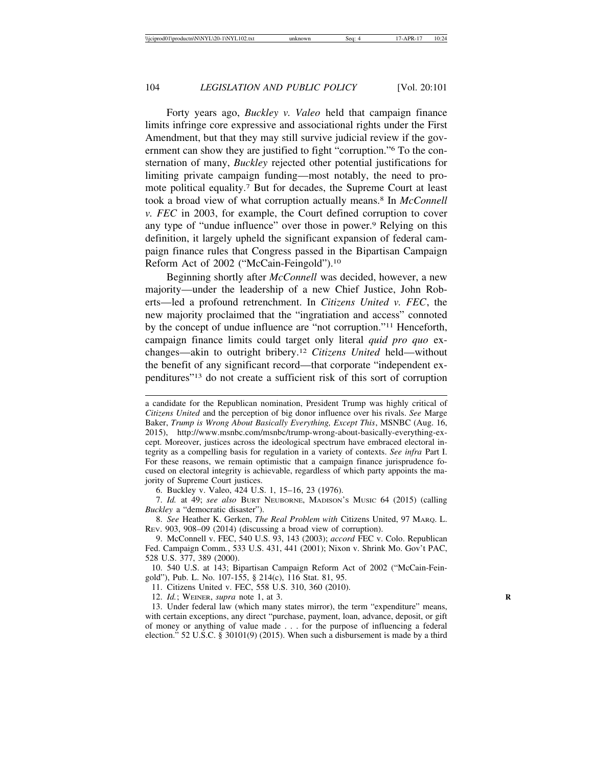Forty years ago, *Buckley v. Valeo* held that campaign finance limits infringe core expressive and associational rights under the First Amendment, but that they may still survive judicial review if the government can show they are justified to fight "corruption."6 To the consternation of many, *Buckley* rejected other potential justifications for limiting private campaign funding—most notably, the need to promote political equality.7 But for decades, the Supreme Court at least took a broad view of what corruption actually means.8 In *McConnell v. FEC* in 2003, for example, the Court defined corruption to cover any type of "undue influence" over those in power.9 Relying on this definition, it largely upheld the significant expansion of federal campaign finance rules that Congress passed in the Bipartisan Campaign Reform Act of 2002 ("McCain-Feingold").10

Beginning shortly after *McConnell* was decided, however, a new majority—under the leadership of a new Chief Justice, John Roberts—led a profound retrenchment. In *Citizens United v. FEC*, the new majority proclaimed that the "ingratiation and access" connoted by the concept of undue influence are "not corruption."11 Henceforth, campaign finance limits could target only literal *quid pro quo* exchanges—akin to outright bribery.12 *Citizens United* held—without the benefit of any significant record—that corporate "independent expenditures"13 do not create a sufficient risk of this sort of corruption

6. Buckley v. Valeo, 424 U.S. 1, 15–16, 23 (1976).

7. *Id.* at 49; *see also* BURT NEUBORNE, MADISON'S MUSIC 64 (2015) (calling *Buckley* a "democratic disaster").

8. *See* Heather K. Gerken, *The Real Problem with* Citizens United, 97 MARQ. L. REV. 903, 908–09 (2014) (discussing a broad view of corruption).

9. McConnell v. FEC, 540 U.S. 93, 143 (2003); *accord* FEC v. Colo. Republican Fed. Campaign Comm*.*, 533 U.S. 431, 441 (2001); Nixon v. Shrink Mo. Gov't PAC, 528 U.S. 377, 389 (2000).

10. 540 U.S. at 143; Bipartisan Campaign Reform Act of 2002 ("McCain-Feingold"), Pub. L. No. 107-155, § 214(c), 116 Stat. 81, 95.

11. Citizens United v. FEC, 558 U.S. 310, 360 (2010).

12. *Id.*; WEINER, *supra* note 1, at 3. **R**

13. Under federal law (which many states mirror), the term "expenditure" means, with certain exceptions, any direct "purchase, payment, loan, advance, deposit, or gift of money or anything of value made . . . for the purpose of influencing a federal election." 52 U.S.C. § 30101(9) (2015). When such a disbursement is made by a third

a candidate for the Republican nomination, President Trump was highly critical of *Citizens United* and the perception of big donor influence over his rivals. *See* Marge Baker, *Trump is Wrong About Basically Everything, Except This*, MSNBC (Aug. 16, 2015), http://www.msnbc.com/msnbc/trump-wrong-about-basically-everything-except. Moreover, justices across the ideological spectrum have embraced electoral integrity as a compelling basis for regulation in a variety of contexts. *See infra* Part I. For these reasons, we remain optimistic that a campaign finance jurisprudence focused on electoral integrity is achievable, regardless of which party appoints the majority of Supreme Court justices.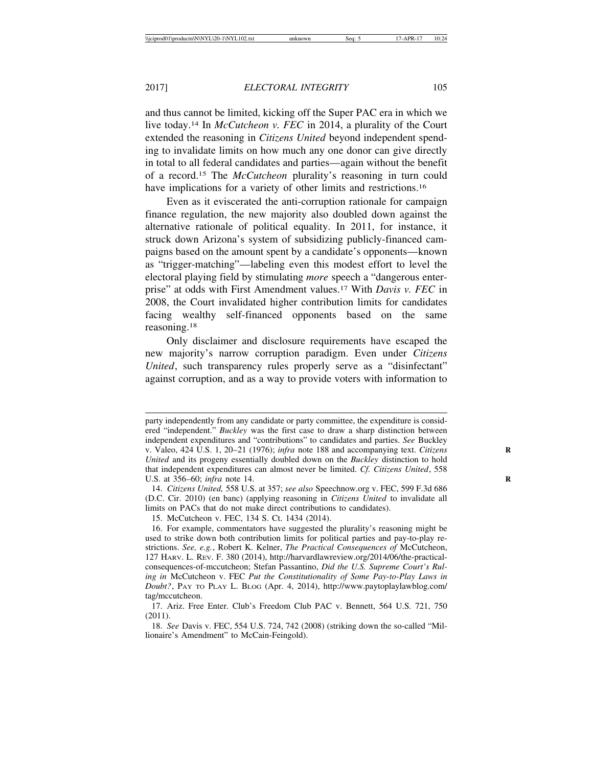and thus cannot be limited, kicking off the Super PAC era in which we live today.14 In *McCutcheon v. FEC* in 2014, a plurality of the Court extended the reasoning in *Citizens United* beyond independent spending to invalidate limits on how much any one donor can give directly in total to all federal candidates and parties—again without the benefit of a record.15 The *McCutcheon* plurality's reasoning in turn could have implications for a variety of other limits and restrictions.<sup>16</sup>

Even as it eviscerated the anti-corruption rationale for campaign finance regulation, the new majority also doubled down against the alternative rationale of political equality. In 2011, for instance, it struck down Arizona's system of subsidizing publicly-financed campaigns based on the amount spent by a candidate's opponents—known as "trigger-matching"—labeling even this modest effort to level the electoral playing field by stimulating *more* speech a "dangerous enterprise" at odds with First Amendment values.17 With *Davis v. FEC* in 2008, the Court invalidated higher contribution limits for candidates facing wealthy self-financed opponents based on the same reasoning.18

Only disclaimer and disclosure requirements have escaped the new majority's narrow corruption paradigm. Even under *Citizens United*, such transparency rules properly serve as a "disinfectant" against corruption, and as a way to provide voters with information to

party independently from any candidate or party committee, the expenditure is considered "independent." *Buckley* was the first case to draw a sharp distinction between independent expenditures and "contributions" to candidates and parties. *See* Buckley v. Valeo, 424 U.S. 1, 20–21 (1976); *infra* note 188 and accompanying text. *Citizens* **R** *United* and its progeny essentially doubled down on the *Buckley* distinction to hold that independent expenditures can almost never be limited. *Cf. Citizens United*, 558 U.S. at 356–60; *infra* note 14. **R**

<sup>14.</sup> *Citizens United,* 558 U.S. at 357; *see also* Speechnow.org v. FEC, 599 F.3d 686 (D.C. Cir. 2010) (en banc) (applying reasoning in *Citizens United* to invalidate all limits on PACs that do not make direct contributions to candidates).

<sup>15.</sup> McCutcheon v. FEC, 134 S. Ct. 1434 (2014).

<sup>16.</sup> For example, commentators have suggested the plurality's reasoning might be used to strike down both contribution limits for political parties and pay-to-play restrictions. *See, e.g.*, Robert K. Kelner, *The Practical Consequences of* McCutcheon, 127 HARV. L. REV. F. 380 (2014), http://harvardlawreview.org/2014/06/the-practicalconsequences-of-mccutcheon; Stefan Passantino, *Did the U.S. Supreme Court's Ruling in* McCutcheon v. FEC *Put the Constitutionality of Some Pay-to-Play Laws in Doubt?*, PAY TO PLAY L. BLOG (Apr. 4, 2014), http://www.paytoplaylawblog.com/ tag/mccutcheon.

<sup>17.</sup> Ariz. Free Enter. Club's Freedom Club PAC v. Bennett, 564 U.S. 721, 750 (2011).

<sup>18.</sup> *See* Davis v. FEC, 554 U.S. 724, 742 (2008) (striking down the so-called "Millionaire's Amendment" to McCain-Feingold).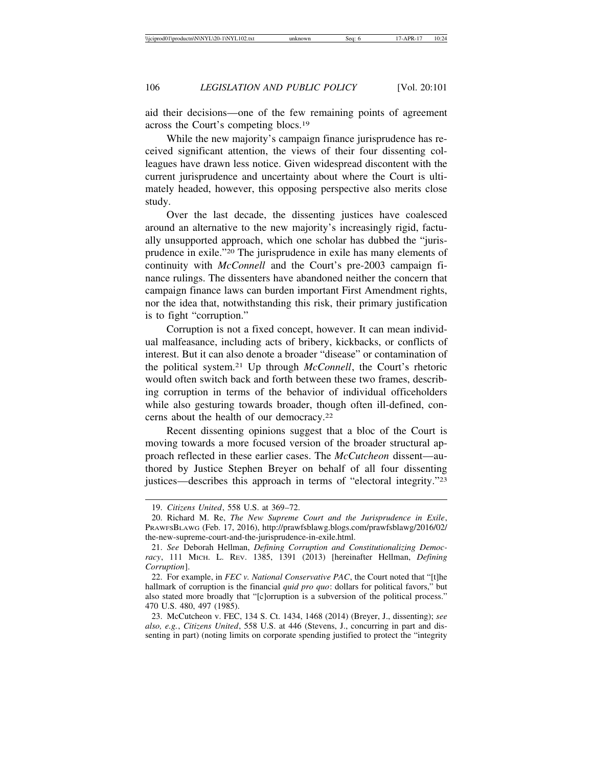aid their decisions—one of the few remaining points of agreement across the Court's competing blocs.19

While the new majority's campaign finance jurisprudence has received significant attention, the views of their four dissenting colleagues have drawn less notice. Given widespread discontent with the current jurisprudence and uncertainty about where the Court is ultimately headed, however, this opposing perspective also merits close study.

Over the last decade, the dissenting justices have coalesced around an alternative to the new majority's increasingly rigid, factually unsupported approach, which one scholar has dubbed the "jurisprudence in exile."20 The jurisprudence in exile has many elements of continuity with *McConnell* and the Court's pre-2003 campaign finance rulings. The dissenters have abandoned neither the concern that campaign finance laws can burden important First Amendment rights, nor the idea that, notwithstanding this risk, their primary justification is to fight "corruption."

Corruption is not a fixed concept, however. It can mean individual malfeasance, including acts of bribery, kickbacks, or conflicts of interest. But it can also denote a broader "disease" or contamination of the political system.21 Up through *McConnell*, the Court's rhetoric would often switch back and forth between these two frames, describing corruption in terms of the behavior of individual officeholders while also gesturing towards broader, though often ill-defined, concerns about the health of our democracy.22

Recent dissenting opinions suggest that a bloc of the Court is moving towards a more focused version of the broader structural approach reflected in these earlier cases. The *McCutcheon* dissent—authored by Justice Stephen Breyer on behalf of all four dissenting justices—describes this approach in terms of "electoral integrity."23

<sup>19.</sup> *Citizens United*, 558 U.S. at 369–72.

<sup>20.</sup> Richard M. Re, *The New Supreme Court and the Jurisprudence in Exile*, PRAWFSBLAWG (Feb. 17, 2016), http://prawfsblawg.blogs.com/prawfsblawg/2016/02/ the-new-supreme-court-and-the-jurisprudence-in-exile.html.

<sup>21.</sup> *See* Deborah Hellman, *Defining Corruption and Constitutionalizing Democracy*, 111 MICH. L. REV. 1385, 1391 (2013) [hereinafter Hellman, *Defining Corruption*].

<sup>22.</sup> For example, in *FEC v. National Conservative PAC*, the Court noted that "[t]he hallmark of corruption is the financial *quid pro quo*: dollars for political favors," but also stated more broadly that "[c]orruption is a subversion of the political process." 470 U.S. 480, 497 (1985).

<sup>23.</sup> McCutcheon v. FEC, 134 S. Ct. 1434, 1468 (2014) (Breyer, J., dissenting); *see also, e.g.*, *Citizens United*, 558 U.S. at 446 (Stevens, J., concurring in part and dissenting in part) (noting limits on corporate spending justified to protect the "integrity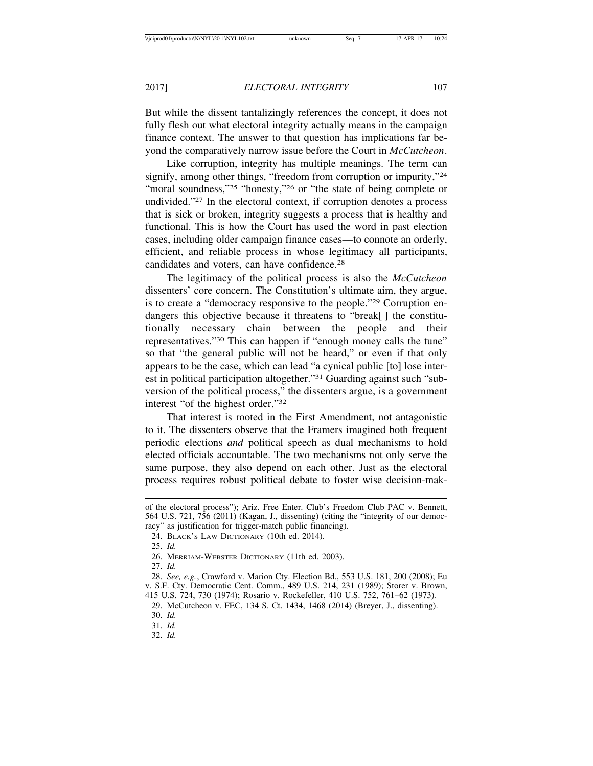But while the dissent tantalizingly references the concept, it does not fully flesh out what electoral integrity actually means in the campaign finance context. The answer to that question has implications far beyond the comparatively narrow issue before the Court in *McCutcheon*.

Like corruption, integrity has multiple meanings. The term can signify, among other things, "freedom from corruption or impurity,"<sup>24</sup> "moral soundness,"<sup>25</sup> "honesty,"<sup>26</sup> or "the state of being complete or undivided."27 In the electoral context, if corruption denotes a process that is sick or broken, integrity suggests a process that is healthy and functional. This is how the Court has used the word in past election cases, including older campaign finance cases—to connote an orderly, efficient, and reliable process in whose legitimacy all participants, candidates and voters, can have confidence.28

The legitimacy of the political process is also the *McCutcheon* dissenters' core concern. The Constitution's ultimate aim, they argue, is to create a "democracy responsive to the people."29 Corruption endangers this objective because it threatens to "break[] the constitutionally necessary chain between the people and their representatives."30 This can happen if "enough money calls the tune" so that "the general public will not be heard," or even if that only appears to be the case, which can lead "a cynical public [to] lose interest in political participation altogether."31 Guarding against such "subversion of the political process," the dissenters argue, is a government interest "of the highest order."32

That interest is rooted in the First Amendment, not antagonistic to it. The dissenters observe that the Framers imagined both frequent periodic elections *and* political speech as dual mechanisms to hold elected officials accountable. The two mechanisms not only serve the same purpose, they also depend on each other. Just as the electoral process requires robust political debate to foster wise decision-mak-

31. *Id.*

32. *Id.*

of the electoral process"); Ariz. Free Enter. Club's Freedom Club PAC v. Bennett, 564 U.S. 721, 756 (2011) (Kagan, J., dissenting) (citing the "integrity of our democracy" as justification for trigger-match public financing).

<sup>24.</sup> BLACK'S LAW DICTIONARY (10th ed. 2014).

<sup>25.</sup> *Id.*

<sup>26.</sup> MERRIAM-WEBSTER DICTIONARY (11th ed. 2003).

<sup>27.</sup> *Id.*

<sup>28.</sup> *See, e.g.*, Crawford v. Marion Cty. Election Bd., 553 U.S. 181, 200 (2008); Eu v. S.F. Cty. Democratic Cent. Comm., 489 U.S. 214, 231 (1989); Storer v. Brown, 415 U.S. 724, 730 (1974); Rosario v. Rockefeller, 410 U.S. 752, 761–62 (1973)*.*

<sup>29.</sup> McCutcheon v. FEC, 134 S. Ct. 1434, 1468 (2014) (Breyer, J., dissenting). 30. *Id.*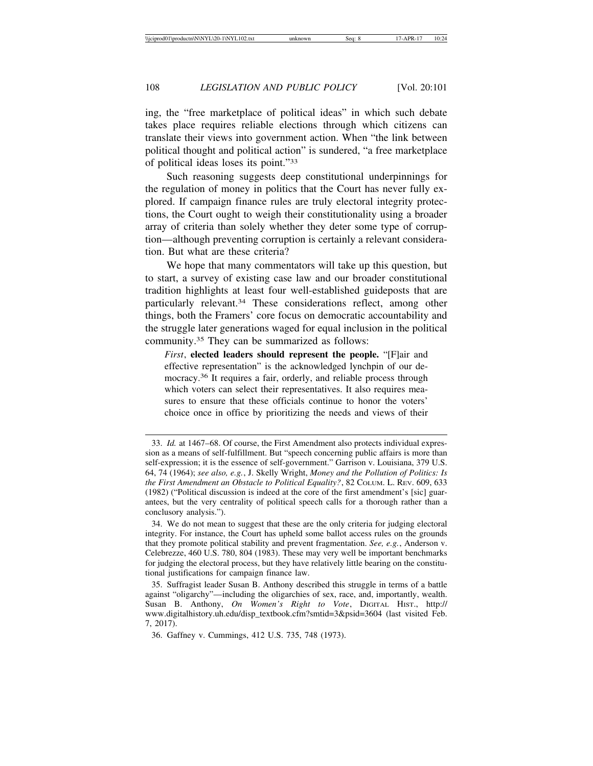ing, the "free marketplace of political ideas" in which such debate takes place requires reliable elections through which citizens can translate their views into government action. When "the link between political thought and political action" is sundered, "a free marketplace of political ideas loses its point."33

Such reasoning suggests deep constitutional underpinnings for the regulation of money in politics that the Court has never fully explored. If campaign finance rules are truly electoral integrity protections, the Court ought to weigh their constitutionality using a broader array of criteria than solely whether they deter some type of corruption—although preventing corruption is certainly a relevant consideration. But what are these criteria?

We hope that many commentators will take up this question, but to start, a survey of existing case law and our broader constitutional tradition highlights at least four well-established guideposts that are particularly relevant.34 These considerations reflect, among other things, both the Framers' core focus on democratic accountability and the struggle later generations waged for equal inclusion in the political community.35 They can be summarized as follows:

*First*, **elected leaders should represent the people.** "[F]air and effective representation" is the acknowledged lynchpin of our democracy.36 It requires a fair, orderly, and reliable process through which voters can select their representatives. It also requires measures to ensure that these officials continue to honor the voters' choice once in office by prioritizing the needs and views of their

<sup>33.</sup> *Id.* at 1467–68. Of course, the First Amendment also protects individual expression as a means of self-fulfillment. But "speech concerning public affairs is more than self-expression; it is the essence of self-government." Garrison v. Louisiana, 379 U.S. 64, 74 (1964); *see also, e.g.*, J. Skelly Wright, *Money and the Pollution of Politics: Is the First Amendment an Obstacle to Political Equality?*, 82 COLUM. L. REV. 609, 633 (1982) ("Political discussion is indeed at the core of the first amendment's [sic] guarantees, but the very centrality of political speech calls for a thorough rather than a conclusory analysis.").

<sup>34.</sup> We do not mean to suggest that these are the only criteria for judging electoral integrity. For instance, the Court has upheld some ballot access rules on the grounds that they promote political stability and prevent fragmentation. *See, e.g.*, Anderson v. Celebrezze, 460 U.S. 780, 804 (1983). These may very well be important benchmarks for judging the electoral process, but they have relatively little bearing on the constitutional justifications for campaign finance law.

<sup>35.</sup> Suffragist leader Susan B. Anthony described this struggle in terms of a battle against "oligarchy"—including the oligarchies of sex, race, and, importantly, wealth. Susan B. Anthony, *On Women's Right to Vote*, DIGITAL HIST., http:// www.digitalhistory.uh.edu/disp\_textbook.cfm?smtid=3&psid=3604 (last visited Feb. 7, 2017).

<sup>36.</sup> Gaffney v. Cummings, 412 U.S. 735, 748 (1973).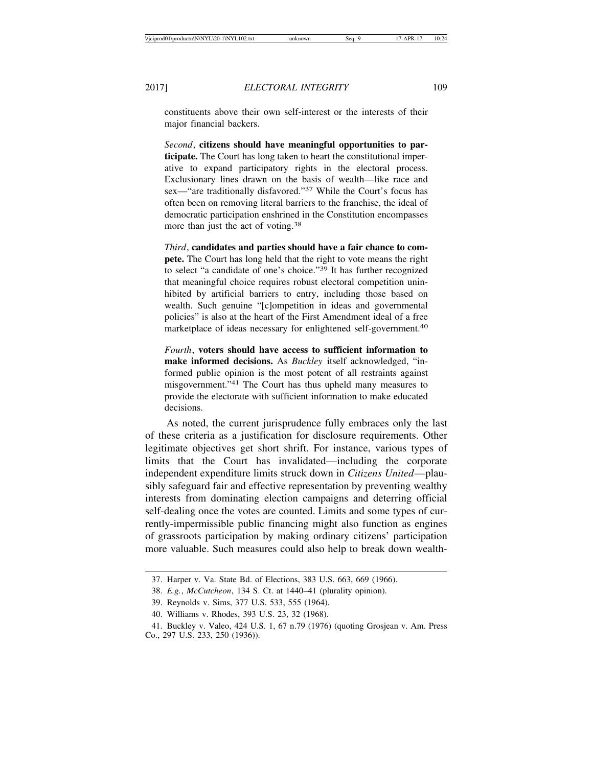constituents above their own self-interest or the interests of their major financial backers.

*Second*, **citizens should have meaningful opportunities to participate.** The Court has long taken to heart the constitutional imperative to expand participatory rights in the electoral process. Exclusionary lines drawn on the basis of wealth—like race and sex—"are traditionally disfavored."37 While the Court's focus has often been on removing literal barriers to the franchise, the ideal of democratic participation enshrined in the Constitution encompasses more than just the act of voting.<sup>38</sup>

*Third*, **candidates and parties should have a fair chance to compete.** The Court has long held that the right to vote means the right to select "a candidate of one's choice."39 It has further recognized that meaningful choice requires robust electoral competition uninhibited by artificial barriers to entry, including those based on wealth. Such genuine "[c]ompetition in ideas and governmental policies" is also at the heart of the First Amendment ideal of a free marketplace of ideas necessary for enlightened self-government.40

*Fourth*, **voters should have access to sufficient information to make informed decisions.** As *Buckley* itself acknowledged, "informed public opinion is the most potent of all restraints against misgovernment."41 The Court has thus upheld many measures to provide the electorate with sufficient information to make educated decisions.

As noted, the current jurisprudence fully embraces only the last of these criteria as a justification for disclosure requirements. Other legitimate objectives get short shrift. For instance, various types of limits that the Court has invalidated—including the corporate independent expenditure limits struck down in *Citizens United*—plausibly safeguard fair and effective representation by preventing wealthy interests from dominating election campaigns and deterring official self-dealing once the votes are counted. Limits and some types of currently-impermissible public financing might also function as engines of grassroots participation by making ordinary citizens' participation more valuable. Such measures could also help to break down wealth-

<sup>37.</sup> Harper v. Va. State Bd. of Elections, 383 U.S. 663, 669 (1966).

<sup>38.</sup> *E.g.*, *McCutcheon*, 134 S. Ct. at 1440–41 (plurality opinion).

<sup>39.</sup> Reynolds v. Sims, 377 U.S. 533, 555 (1964).

<sup>40.</sup> Williams v. Rhodes, 393 U.S. 23, 32 (1968).

<sup>41.</sup> Buckley v. Valeo, 424 U.S. 1, 67 n.79 (1976) (quoting Grosjean v. Am. Press Co., 297 U.S. 233, 250 (1936)).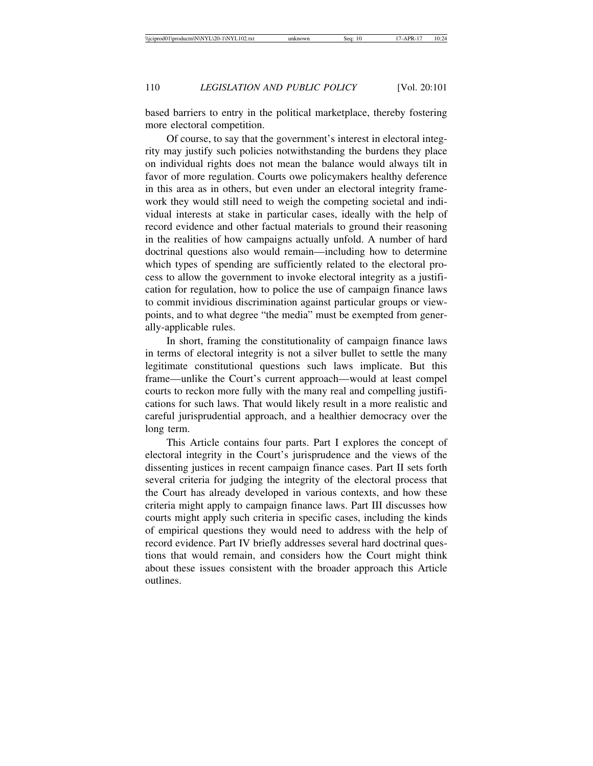based barriers to entry in the political marketplace, thereby fostering more electoral competition.

Of course, to say that the government's interest in electoral integrity may justify such policies notwithstanding the burdens they place on individual rights does not mean the balance would always tilt in favor of more regulation. Courts owe policymakers healthy deference in this area as in others, but even under an electoral integrity framework they would still need to weigh the competing societal and individual interests at stake in particular cases, ideally with the help of record evidence and other factual materials to ground their reasoning in the realities of how campaigns actually unfold. A number of hard doctrinal questions also would remain—including how to determine which types of spending are sufficiently related to the electoral process to allow the government to invoke electoral integrity as a justification for regulation, how to police the use of campaign finance laws to commit invidious discrimination against particular groups or viewpoints, and to what degree "the media" must be exempted from generally-applicable rules.

In short, framing the constitutionality of campaign finance laws in terms of electoral integrity is not a silver bullet to settle the many legitimate constitutional questions such laws implicate. But this frame—unlike the Court's current approach—would at least compel courts to reckon more fully with the many real and compelling justifications for such laws. That would likely result in a more realistic and careful jurisprudential approach, and a healthier democracy over the long term.

This Article contains four parts. Part I explores the concept of electoral integrity in the Court's jurisprudence and the views of the dissenting justices in recent campaign finance cases. Part II sets forth several criteria for judging the integrity of the electoral process that the Court has already developed in various contexts, and how these criteria might apply to campaign finance laws. Part III discusses how courts might apply such criteria in specific cases, including the kinds of empirical questions they would need to address with the help of record evidence. Part IV briefly addresses several hard doctrinal questions that would remain, and considers how the Court might think about these issues consistent with the broader approach this Article outlines.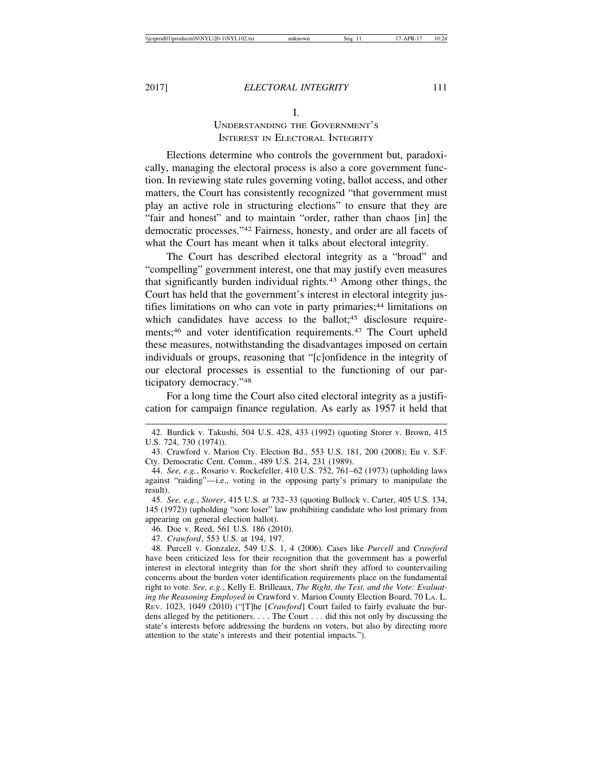#### I.

# UNDERSTANDING THE GOVERNMENT'S INTEREST IN ELECTORAL INTEGRITY

Elections determine who controls the government but, paradoxically, managing the electoral process is also a core government function. In reviewing state rules governing voting, ballot access, and other matters, the Court has consistently recognized "that government must play an active role in structuring elections" to ensure that they are "fair and honest" and to maintain "order, rather than chaos [in] the democratic processes."42 Fairness, honesty, and order are all facets of what the Court has meant when it talks about electoral integrity.

The Court has described electoral integrity as a "broad" and "compelling" government interest, one that may justify even measures that significantly burden individual rights.43 Among other things, the Court has held that the government's interest in electoral integrity justifies limitations on who can vote in party primaries;<sup>44</sup> limitations on which candidates have access to the ballot;<sup>45</sup> disclosure requirements;<sup>46</sup> and voter identification requirements.<sup>47</sup> The Court upheld these measures, notwithstanding the disadvantages imposed on certain individuals or groups, reasoning that "[c]onfidence in the integrity of our electoral processes is essential to the functioning of our participatory democracy."48

For a long time the Court also cited electoral integrity as a justification for campaign finance regulation. As early as 1957 it held that

<sup>42.</sup> Burdick v. Takushi, 504 U.S. 428, 433 (1992) (quoting Storer v. Brown, 415 U.S. 724, 730 (1974)).

<sup>43.</sup> Crawford v. Marion Cty. Election Bd., 553 U.S. 181, 200 (2008); Eu v. S.F. Cty. Democratic Cent. Comm., 489 U.S. 214, 231 (1989).

<sup>44.</sup> *See, e.g.*, Rosario v. Rockefeller, 410 U.S. 752, 761–62 (1973) (upholding laws against "raiding"—i.e., voting in the opposing party's primary to manipulate the result).

<sup>45.</sup> *See, e.g.*, *Storer*, 415 U.S. at 732–33 (quoting Bullock v. Carter, 405 U.S. 134, 145 (1972)) (upholding "sore loser" law prohibiting candidate who lost primary from appearing on general election ballot).

<sup>46.</sup> Doe v. Reed, 561 U.S. 186 (2010).

<sup>47.</sup> *Crawford*, 553 U.S. at 194, 197.

<sup>48.</sup> Purcell v. Gonzalez, 549 U.S. 1, 4 (2006). Cases like *Purcell* and *Crawford* have been criticized less for their recognition that the government has a powerful interest in electoral integrity than for the short shrift they afford to countervailing concerns about the burden voter identification requirements place on the fundamental right to vote. *See, e.g.*, Kelly E. Brilleaux, *The Right, the Test, and the Vote: Evaluating the Reasoning Employed in* Crawford v. Marion County Election Board, 70 LA. L. REV. 1023, 1049 (2010) ("[T]he [*Crawford*] Court failed to fairly evaluate the burdens alleged by the petitioners. . . . The Court . . . did this not only by discussing the state's interests before addressing the burdens on voters, but also by directing more attention to the state's interests and their potential impacts.").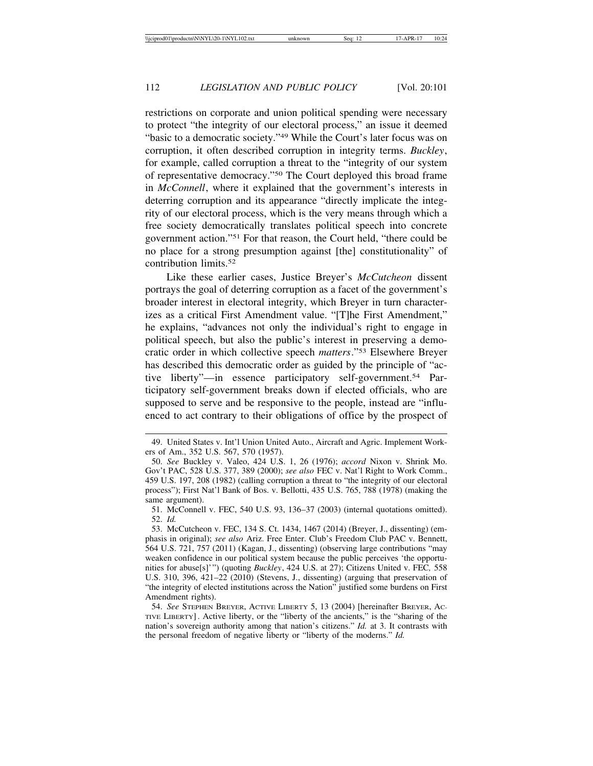restrictions on corporate and union political spending were necessary to protect "the integrity of our electoral process," an issue it deemed "basic to a democratic society."<sup>49</sup> While the Court's later focus was on corruption, it often described corruption in integrity terms. *Buckley*, for example, called corruption a threat to the "integrity of our system of representative democracy."50 The Court deployed this broad frame in *McConnell*, where it explained that the government's interests in deterring corruption and its appearance "directly implicate the integrity of our electoral process, which is the very means through which a free society democratically translates political speech into concrete government action."51 For that reason, the Court held, "there could be no place for a strong presumption against [the] constitutionality" of contribution limits.52

Like these earlier cases, Justice Breyer's *McCutcheon* dissent portrays the goal of deterring corruption as a facet of the government's broader interest in electoral integrity, which Breyer in turn characterizes as a critical First Amendment value. "[T]he First Amendment," he explains, "advances not only the individual's right to engage in political speech, but also the public's interest in preserving a democratic order in which collective speech *matters*."53 Elsewhere Breyer has described this democratic order as guided by the principle of "active liberty"—in essence participatory self-government.54 Participatory self-government breaks down if elected officials, who are supposed to serve and be responsive to the people, instead are "influenced to act contrary to their obligations of office by the prospect of

51. McConnell v. FEC, 540 U.S. 93, 136–37 (2003) (internal quotations omitted). 52. *Id.*

<sup>49.</sup> United States v. Int'l Union United Auto., Aircraft and Agric. Implement Workers of Am., 352 U.S. 567, 570 (1957).

<sup>50.</sup> *See* Buckley v. Valeo, 424 U.S. 1, 26 (1976); *accord* Nixon v. Shrink Mo. Gov't PAC, 528 U.S. 377, 389 (2000); *see also* FEC v. Nat'l Right to Work Comm., 459 U.S. 197, 208 (1982) (calling corruption a threat to "the integrity of our electoral process"); First Nat'l Bank of Bos. v. Bellotti, 435 U.S. 765, 788 (1978) (making the same argument).

<sup>53.</sup> McCutcheon v. FEC, 134 S. Ct. 1434, 1467 (2014) (Breyer, J., dissenting) (emphasis in original); *see also* Ariz. Free Enter. Club's Freedom Club PAC v. Bennett, 564 U.S. 721, 757 (2011) (Kagan, J., dissenting) (observing large contributions "may weaken confidence in our political system because the public perceives 'the opportunities for abuse[s]'") (quoting *Buckley*, 424 U.S. at 27); Citizens United v. FEC*,* 558 U.S. 310, 396, 421–22 (2010) (Stevens, J., dissenting) (arguing that preservation of "the integrity of elected institutions across the Nation" justified some burdens on First Amendment rights).

<sup>54.</sup> *See* STEPHEN BREYER, ACTIVE LIBERTY 5, 13 (2004) [hereinafter BREYER, AC-TIVE LIBERTY]. Active liberty, or the "liberty of the ancients," is the "sharing of the nation's sovereign authority among that nation's citizens." *Id.* at 3. It contrasts with the personal freedom of negative liberty or "liberty of the moderns." *Id.*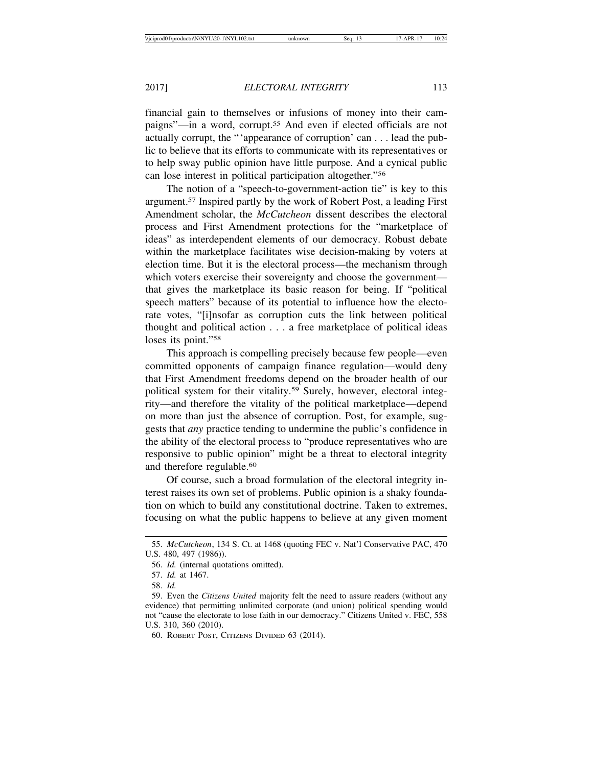financial gain to themselves or infusions of money into their campaigns"—in a word, corrupt.55 And even if elected officials are not actually corrupt, the "'appearance of corruption' can . . . lead the public to believe that its efforts to communicate with its representatives or to help sway public opinion have little purpose. And a cynical public can lose interest in political participation altogether."56

The notion of a "speech-to-government-action tie" is key to this argument.57 Inspired partly by the work of Robert Post, a leading First Amendment scholar, the *McCutcheon* dissent describes the electoral process and First Amendment protections for the "marketplace of ideas" as interdependent elements of our democracy. Robust debate within the marketplace facilitates wise decision-making by voters at election time. But it is the electoral process—the mechanism through which voters exercise their sovereignty and choose the government that gives the marketplace its basic reason for being. If "political speech matters" because of its potential to influence how the electorate votes, "[i]nsofar as corruption cuts the link between political thought and political action . . . a free marketplace of political ideas loses its point."<sup>58</sup>

This approach is compelling precisely because few people—even committed opponents of campaign finance regulation—would deny that First Amendment freedoms depend on the broader health of our political system for their vitality.59 Surely, however, electoral integrity—and therefore the vitality of the political marketplace—depend on more than just the absence of corruption. Post, for example, suggests that *any* practice tending to undermine the public's confidence in the ability of the electoral process to "produce representatives who are responsive to public opinion" might be a threat to electoral integrity and therefore regulable.60

Of course, such a broad formulation of the electoral integrity interest raises its own set of problems. Public opinion is a shaky foundation on which to build any constitutional doctrine. Taken to extremes, focusing on what the public happens to believe at any given moment

<sup>55.</sup> *McCutcheon*, 134 S. Ct. at 1468 (quoting FEC v. Nat'l Conservative PAC, 470 U.S. 480, 497 (1986)).

<sup>56.</sup> *Id.* (internal quotations omitted).

<sup>57.</sup> *Id.* at 1467.

<sup>58.</sup> *Id.* 

<sup>59.</sup> Even the *Citizens United* majority felt the need to assure readers (without any evidence) that permitting unlimited corporate (and union) political spending would not "cause the electorate to lose faith in our democracy." Citizens United v. FEC, 558 U.S. 310, 360 (2010).

<sup>60.</sup> ROBERT POST, CITIZENS DIVIDED 63 (2014).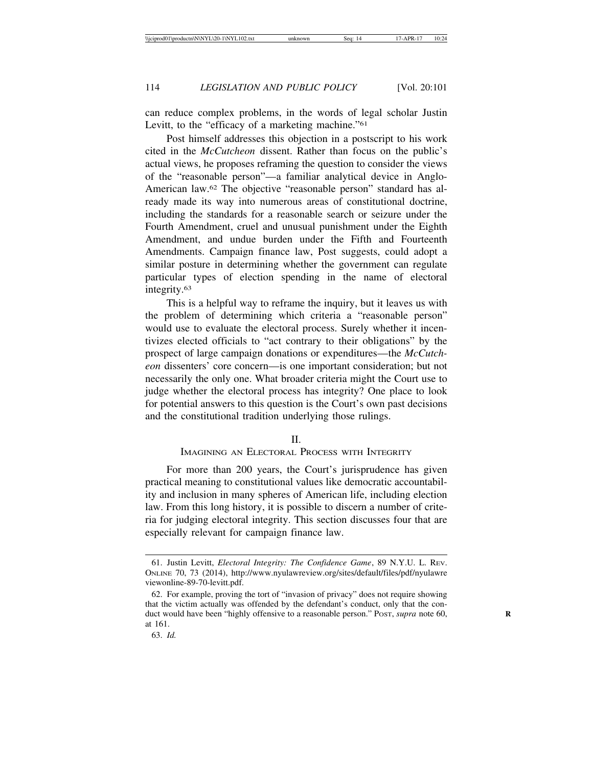can reduce complex problems, in the words of legal scholar Justin Levitt, to the "efficacy of a marketing machine."<sup>61</sup>

Post himself addresses this objection in a postscript to his work cited in the *McCutcheon* dissent. Rather than focus on the public's actual views, he proposes reframing the question to consider the views of the "reasonable person"—a familiar analytical device in Anglo-American law.62 The objective "reasonable person" standard has already made its way into numerous areas of constitutional doctrine, including the standards for a reasonable search or seizure under the Fourth Amendment, cruel and unusual punishment under the Eighth Amendment, and undue burden under the Fifth and Fourteenth Amendments. Campaign finance law, Post suggests, could adopt a similar posture in determining whether the government can regulate particular types of election spending in the name of electoral integrity.63

This is a helpful way to reframe the inquiry, but it leaves us with the problem of determining which criteria a "reasonable person" would use to evaluate the electoral process. Surely whether it incentivizes elected officials to "act contrary to their obligations" by the prospect of large campaign donations or expenditures—the *McCutcheon* dissenters' core concern—is one important consideration; but not necessarily the only one. What broader criteria might the Court use to judge whether the electoral process has integrity? One place to look for potential answers to this question is the Court's own past decisions and the constitutional tradition underlying those rulings.

#### $\mathbf{I}$

## IMAGINING AN ELECTORAL PROCESS WITH INTEGRITY

For more than 200 years, the Court's jurisprudence has given practical meaning to constitutional values like democratic accountability and inclusion in many spheres of American life, including election law. From this long history, it is possible to discern a number of criteria for judging electoral integrity. This section discusses four that are especially relevant for campaign finance law.

<sup>61.</sup> Justin Levitt, *Electoral Integrity: The Confidence Game*, 89 N.Y.U. L. REV. ONLINE 70, 73 (2014), http://www.nyulawreview.org/sites/default/files/pdf/nyulawre viewonline-89-70-levitt.pdf.

<sup>62.</sup> For example, proving the tort of "invasion of privacy" does not require showing that the victim actually was offended by the defendant's conduct, only that the conduct would have been "highly offensive to a reasonable person." Post, *supra* note 60, at 161.

<sup>63.</sup> *Id.*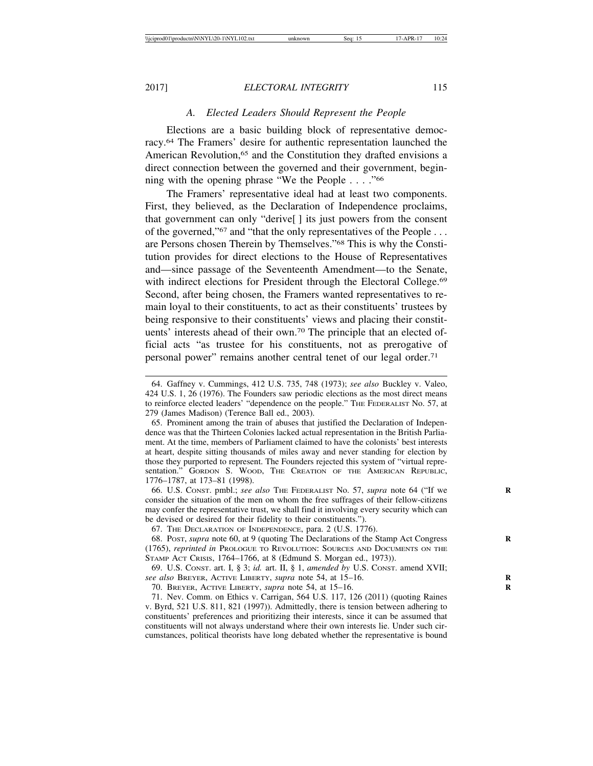# *A. Elected Leaders Should Represent the People*

Elections are a basic building block of representative democracy.64 The Framers' desire for authentic representation launched the American Revolution,<sup>65</sup> and the Constitution they drafted envisions a direct connection between the governed and their government, beginning with the opening phrase "We the People . . . ."66

The Framers' representative ideal had at least two components. First, they believed, as the Declaration of Independence proclaims, that government can only "derive[ ] its just powers from the consent of the governed,"<sup>67</sup> and "that the only representatives of the People ... are Persons chosen Therein by Themselves."68 This is why the Constitution provides for direct elections to the House of Representatives and—since passage of the Seventeenth Amendment—to the Senate, with indirect elections for President through the Electoral College.<sup>69</sup> Second, after being chosen, the Framers wanted representatives to remain loyal to their constituents, to act as their constituents' trustees by being responsive to their constituents' views and placing their constituents' interests ahead of their own.70 The principle that an elected official acts "as trustee for his constituents, not as prerogative of personal power" remains another central tenet of our legal order.71

67. THE DECLARATION OF INDEPENDENCE, para. 2 (U.S. 1776).

69. U.S. CONST. art. I, § 3; *id.* art. II, § 1, *amended by* U.S. CONST. amend XVII; *see also* BREYER, ACTIVE LIBERTY, *supra* note 54, at 15–16. **R**

70. BREYER, ACTIVE LIBERTY, *supra* note 54, at 15–16. **R**

<sup>64.</sup> Gaffney v. Cummings, 412 U.S. 735, 748 (1973); *see also* Buckley v. Valeo, 424 U.S. 1, 26 (1976). The Founders saw periodic elections as the most direct means to reinforce elected leaders' "dependence on the people." THE FEDERALIST No. 57, at 279 (James Madison) (Terence Ball ed., 2003).

<sup>65.</sup> Prominent among the train of abuses that justified the Declaration of Independence was that the Thirteen Colonies lacked actual representation in the British Parliament. At the time, members of Parliament claimed to have the colonists' best interests at heart, despite sitting thousands of miles away and never standing for election by those they purported to represent. The Founders rejected this system of "virtual representation." GORDON S. WOOD, THE CREATION OF THE AMERICAN REPUBLIC, 1776–1787, at 173–81 (1998).

<sup>66.</sup> U.S. CONST. pmbl.; *see also* THE FEDERALIST No. 57, *supra* note 64 ("If we consider the situation of the men on whom the free suffrages of their fellow-citizens may confer the representative trust, we shall find it involving every security which can be devised or desired for their fidelity to their constituents.").

<sup>68.</sup> POST, *supra* note 60, at 9 (quoting The Declarations of the Stamp Act Congress **R** (1765), *reprinted in* PROLOGUE TO REVOLUTION: SOURCES AND DOCUMENTS ON THE STAMP ACT CRISIS, 1764–1766, at 8 (Edmund S. Morgan ed., 1973)).

<sup>71.</sup> Nev. Comm. on Ethics v. Carrigan, 564 U.S. 117, 126 (2011) (quoting Raines v. Byrd, 521 U.S. 811, 821 (1997)). Admittedly, there is tension between adhering to constituents' preferences and prioritizing their interests, since it can be assumed that constituents will not always understand where their own interests lie. Under such circumstances, political theorists have long debated whether the representative is bound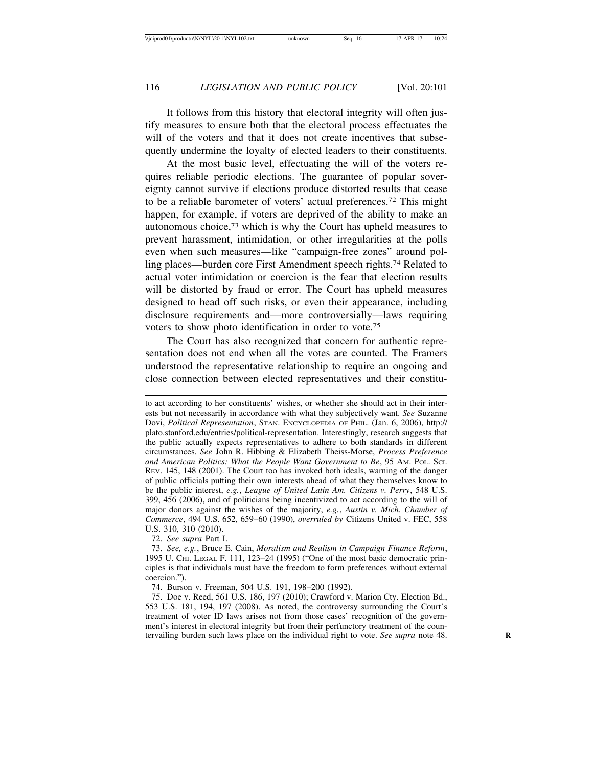It follows from this history that electoral integrity will often justify measures to ensure both that the electoral process effectuates the will of the voters and that it does not create incentives that subsequently undermine the loyalty of elected leaders to their constituents.

At the most basic level, effectuating the will of the voters requires reliable periodic elections. The guarantee of popular sovereignty cannot survive if elections produce distorted results that cease to be a reliable barometer of voters' actual preferences.72 This might happen, for example, if voters are deprived of the ability to make an autonomous choice,73 which is why the Court has upheld measures to prevent harassment, intimidation, or other irregularities at the polls even when such measures—like "campaign-free zones" around polling places—burden core First Amendment speech rights.74 Related to actual voter intimidation or coercion is the fear that election results will be distorted by fraud or error. The Court has upheld measures designed to head off such risks, or even their appearance, including disclosure requirements and—more controversially—laws requiring voters to show photo identification in order to vote.75

The Court has also recognized that concern for authentic representation does not end when all the votes are counted. The Framers understood the representative relationship to require an ongoing and close connection between elected representatives and their constitu-

72. *See supra* Part I.

73. *See, e.g.*, Bruce E. Cain, *Moralism and Realism in Campaign Finance Reform*, 1995 U. CHI. LEGAL F. 111, 123–24 (1995) ("One of the most basic democratic principles is that individuals must have the freedom to form preferences without external coercion.").

74. Burson v. Freeman, 504 U.S. 191, 198–200 (1992).

75. Doe v. Reed, 561 U.S. 186, 197 (2010); Crawford v. Marion Cty. Election Bd., 553 U.S. 181, 194, 197 (2008). As noted, the controversy surrounding the Court's treatment of voter ID laws arises not from those cases' recognition of the government's interest in electoral integrity but from their perfunctory treatment of the countervailing burden such laws place on the individual right to vote. See supra note 48.

to act according to her constituents' wishes, or whether she should act in their interests but not necessarily in accordance with what they subjectively want. *See* Suzanne Dovi, *Political Representation*, STAN. ENCYCLOPEDIA OF PHIL. (Jan. 6, 2006), http:// plato.stanford.edu/entries/political-representation. Interestingly, research suggests that the public actually expects representatives to adhere to both standards in different circumstances. *See* John R. Hibbing & Elizabeth Theiss-Morse, *Process Preference and American Politics: What the People Want Government to Be*, 95 AM. POL. SCI. REV. 145, 148 (2001). The Court too has invoked both ideals, warning of the danger of public officials putting their own interests ahead of what they themselves know to be the public interest, *e.g.*, *League of United Latin Am. Citizens v. Perry*, 548 U.S. 399, 456 (2006), and of politicians being incentivized to act according to the will of major donors against the wishes of the majority, *e.g.*, *Austin v. Mich. Chamber of Commerce*, 494 U.S. 652, 659–60 (1990), *overruled by* Citizens United v. FEC, 558 U.S. 310, 310 (2010).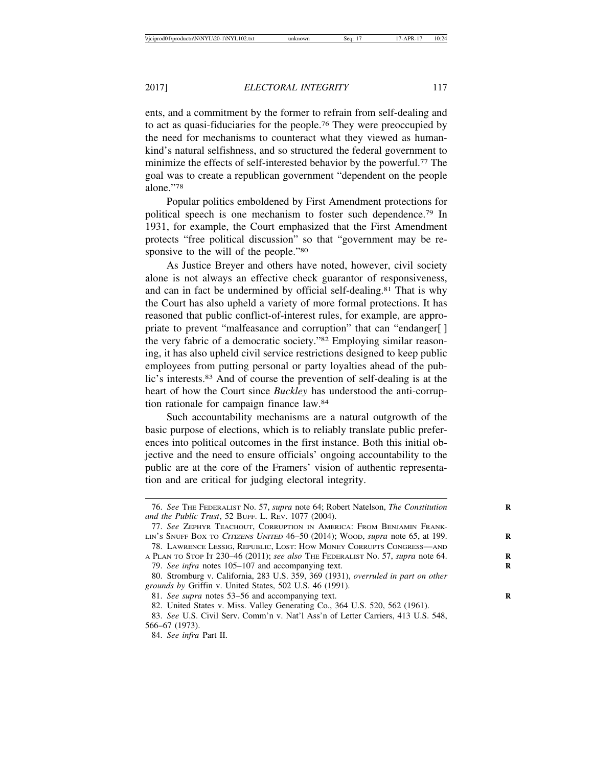ents, and a commitment by the former to refrain from self-dealing and to act as quasi-fiduciaries for the people.76 They were preoccupied by the need for mechanisms to counteract what they viewed as humankind's natural selfishness, and so structured the federal government to minimize the effects of self-interested behavior by the powerful.<sup>77</sup> The goal was to create a republican government "dependent on the people alone."78

Popular politics emboldened by First Amendment protections for political speech is one mechanism to foster such dependence.79 In 1931, for example, the Court emphasized that the First Amendment protects "free political discussion" so that "government may be responsive to the will of the people."<sup>80</sup>

As Justice Breyer and others have noted, however, civil society alone is not always an effective check guarantor of responsiveness, and can in fact be undermined by official self-dealing.81 That is why the Court has also upheld a variety of more formal protections. It has reasoned that public conflict-of-interest rules, for example, are appropriate to prevent "malfeasance and corruption" that can "endanger[ ] the very fabric of a democratic society."82 Employing similar reasoning, it has also upheld civil service restrictions designed to keep public employees from putting personal or party loyalties ahead of the public's interests.83 And of course the prevention of self-dealing is at the heart of how the Court since *Buckley* has understood the anti-corruption rationale for campaign finance law.84

Such accountability mechanisms are a natural outgrowth of the basic purpose of elections, which is to reliably translate public preferences into political outcomes in the first instance. Both this initial objective and the need to ensure officials' ongoing accountability to the public are at the core of the Framers' vision of authentic representation and are critical for judging electoral integrity.

<sup>76.</sup> *See* THE FEDERALIST No. 57, *supra* note 64; Robert Natelson, *The Constitution* **R** *and the Public Trust*, 52 BUFF. L. REV. 1077 (2004).

<sup>77.</sup> *See* ZEPHYR TEACHOUT, CORRUPTION IN AMERICA: FROM BENJAMIN FRANK-LIN'S SNUFF BOX TO <sup>C</sup>ITIZENS UNITED 46–50 (2014); WOOD, *supra* note 65, at 199. **R**

<sup>78.</sup> LAWRENCE LESSIG, REPUBLIC, LOST: HOW MONEY CORRUPTS CONGRESS—AND A PLAN TO STOP IT 230–46 (2011); *see also* THE FEDERALIST No. 57, *supra* note 64. **R** 79. *See infra* notes 105–107 and accompanying text. **R**

<sup>80.</sup> Stromburg v. California, 283 U.S. 359, 369 (1931), *overruled in part on other grounds by* Griffin v. United States, 502 U.S. 46 (1991).

<sup>81.</sup> *See supra* notes 53–56 and accompanying text. **R**

<sup>82.</sup> United States v. Miss. Valley Generating Co., 364 U.S. 520, 562 (1961).

<sup>83.</sup> *See* U.S. Civil Serv. Comm'n v. Nat'l Ass'n of Letter Carriers, 413 U.S. 548, 566–67 (1973).

<sup>84.</sup> *See infra* Part II.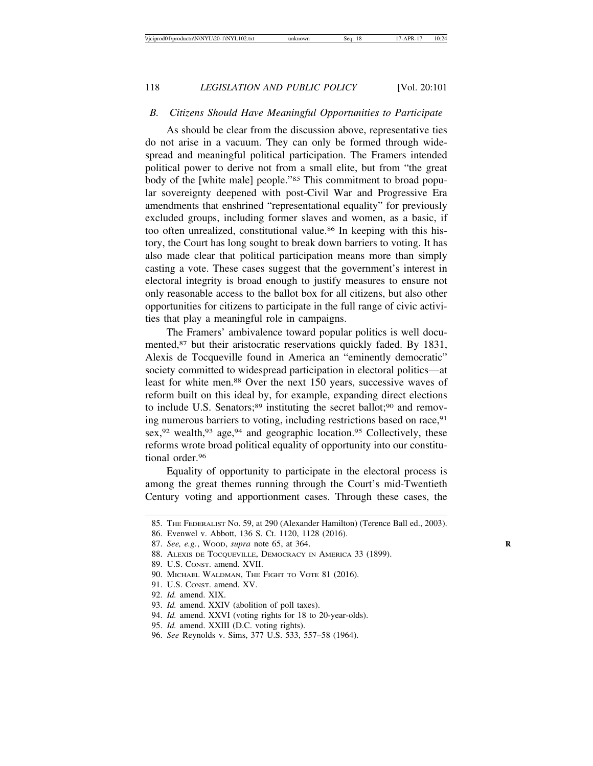### *B. Citizens Should Have Meaningful Opportunities to Participate*

As should be clear from the discussion above, representative ties do not arise in a vacuum. They can only be formed through widespread and meaningful political participation. The Framers intended political power to derive not from a small elite, but from "the great body of the [white male] people."85 This commitment to broad popular sovereignty deepened with post-Civil War and Progressive Era amendments that enshrined "representational equality" for previously excluded groups, including former slaves and women, as a basic, if too often unrealized, constitutional value.<sup>86</sup> In keeping with this history, the Court has long sought to break down barriers to voting. It has also made clear that political participation means more than simply casting a vote. These cases suggest that the government's interest in electoral integrity is broad enough to justify measures to ensure not only reasonable access to the ballot box for all citizens, but also other opportunities for citizens to participate in the full range of civic activities that play a meaningful role in campaigns.

The Framers' ambivalence toward popular politics is well documented,<sup>87</sup> but their aristocratic reservations quickly faded. By 1831, Alexis de Tocqueville found in America an "eminently democratic" society committed to widespread participation in electoral politics—at least for white men.88 Over the next 150 years, successive waves of reform built on this ideal by, for example, expanding direct elections to include U.S. Senators; $89$  instituting the secret ballot; $90$  and removing numerous barriers to voting, including restrictions based on race, <sup>91</sup> sex,  $92$  wealth,  $93$  age,  $94$  and geographic location.  $95$  Collectively, these reforms wrote broad political equality of opportunity into our constitutional order.96

Equality of opportunity to participate in the electoral process is among the great themes running through the Court's mid-Twentieth Century voting and apportionment cases. Through these cases, the

<sup>85.</sup> THE FEDERALIST No. 59, at 290 (Alexander Hamilton) (Terence Ball ed., 2003).

<sup>86.</sup> Evenwel v. Abbott, 136 S. Ct. 1120, 1128 (2016).

<sup>87.</sup> *See, e.g.*, WOOD, *supra* note 65, at 364. **R**

<sup>88.</sup> ALEXIS DE TOCQUEVILLE, DEMOCRACY IN AMERICA 33 (1899).

<sup>89.</sup> U.S. CONST. amend. XVII.

<sup>90.</sup> MICHAEL WALDMAN, THE FIGHT TO VOTE 81 (2016).

<sup>91.</sup> U.S. CONST. amend. XV.

<sup>92.</sup> *Id.* amend. XIX.

<sup>93.</sup> *Id.* amend. XXIV (abolition of poll taxes).

<sup>94.</sup> *Id.* amend. XXVI (voting rights for 18 to 20-year-olds).

<sup>95.</sup> *Id.* amend. XXIII (D.C. voting rights).

<sup>96.</sup> *See* Reynolds v. Sims, 377 U.S. 533, 557–58 (1964).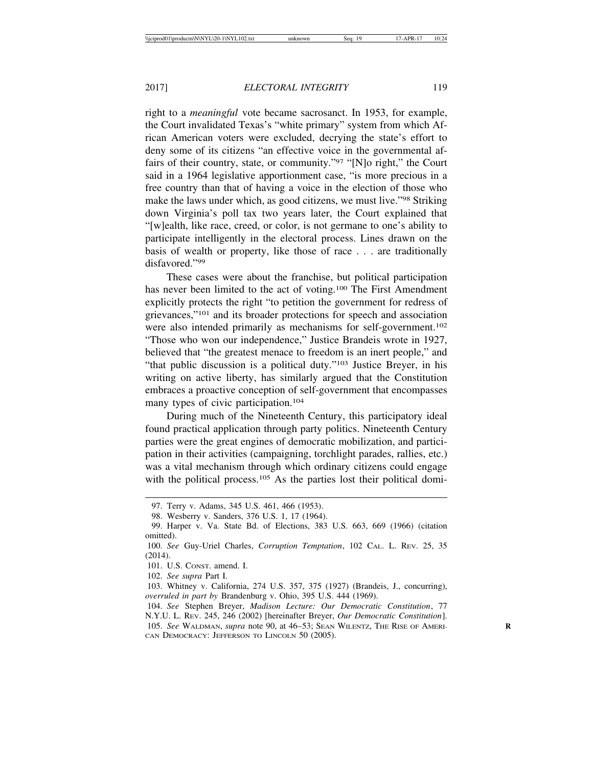right to a *meaningful* vote became sacrosanct. In 1953, for example, the Court invalidated Texas's "white primary" system from which African American voters were excluded, decrying the state's effort to deny some of its citizens "an effective voice in the governmental affairs of their country, state, or community."97 "[N]o right," the Court said in a 1964 legislative apportionment case, "is more precious in a free country than that of having a voice in the election of those who make the laws under which, as good citizens, we must live."98 Striking down Virginia's poll tax two years later, the Court explained that "[w]ealth, like race, creed, or color, is not germane to one's ability to participate intelligently in the electoral process. Lines drawn on the basis of wealth or property, like those of race . . . are traditionally disfavored."99

These cases were about the franchise, but political participation has never been limited to the act of voting.100 The First Amendment explicitly protects the right "to petition the government for redress of grievances,"101 and its broader protections for speech and association were also intended primarily as mechanisms for self-government.<sup>102</sup> "Those who won our independence," Justice Brandeis wrote in 1927, believed that "the greatest menace to freedom is an inert people," and "that public discussion is a political duty."103 Justice Breyer, in his writing on active liberty, has similarly argued that the Constitution embraces a proactive conception of self-government that encompasses many types of civic participation.<sup>104</sup>

During much of the Nineteenth Century, this participatory ideal found practical application through party politics. Nineteenth Century parties were the great engines of democratic mobilization, and participation in their activities (campaigning, torchlight parades, rallies, etc.) was a vital mechanism through which ordinary citizens could engage with the political process.<sup>105</sup> As the parties lost their political domi-

<sup>97.</sup> Terry v. Adams, 345 U.S. 461, 466 (1953).

<sup>98.</sup> Wesberry v. Sanders, 376 U.S. 1, 17 (1964).

<sup>99.</sup> Harper v. Va. State Bd. of Elections, 383 U.S. 663, 669 (1966) (citation omitted).

<sup>100.</sup> *See* Guy-Uriel Charles, *Corruption Temptation*, 102 CAL. L. REV. 25, 35 (2014).

<sup>101.</sup> U.S. CONST. amend. I.

<sup>102.</sup> *See supra* Part I.

<sup>103.</sup> Whitney v. California, 274 U.S. 357, 375 (1927) (Brandeis, J., concurring), *overruled in part by* Brandenburg v. Ohio, 395 U.S. 444 (1969).

<sup>104.</sup> *See* Stephen Breyer, *Madison Lecture: Our Democratic Constitution*, 77 N.Y.U. L. REV. 245, 246 (2002) [hereinafter Breyer, *Our Democratic Constitution*]. 105. *See* WALDMAN, *supra* note 90, at 46–53; SEAN WILENTZ, THE RISE OF AMERI- **R** CAN DEMOCRACY: JEFFERSON TO LINCOLN 50 (2005).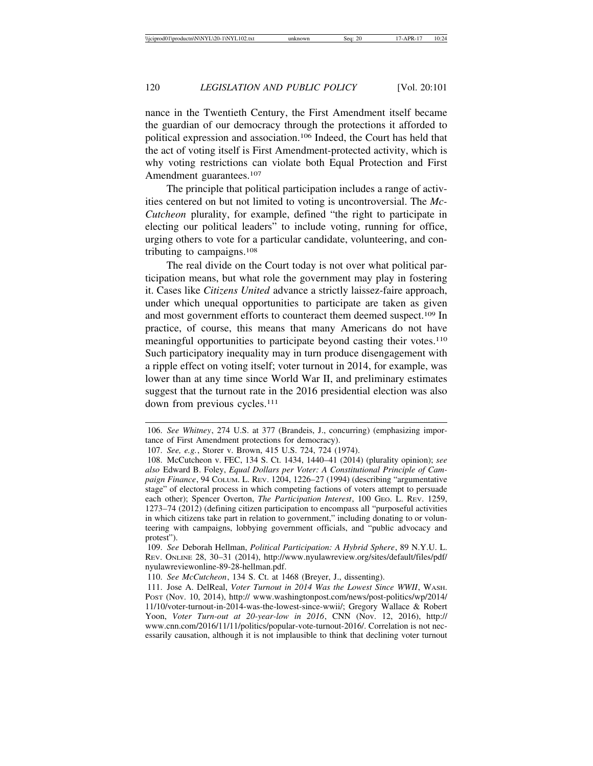nance in the Twentieth Century, the First Amendment itself became the guardian of our democracy through the protections it afforded to political expression and association.106 Indeed, the Court has held that the act of voting itself is First Amendment-protected activity, which is why voting restrictions can violate both Equal Protection and First Amendment guarantees.<sup>107</sup>

The principle that political participation includes a range of activities centered on but not limited to voting is uncontroversial. The *Mc-Cutcheon* plurality, for example, defined "the right to participate in electing our political leaders" to include voting, running for office, urging others to vote for a particular candidate, volunteering, and contributing to campaigns.108

The real divide on the Court today is not over what political participation means, but what role the government may play in fostering it. Cases like *Citizens United* advance a strictly laissez-faire approach, under which unequal opportunities to participate are taken as given and most government efforts to counteract them deemed suspect.<sup>109</sup> In practice, of course, this means that many Americans do not have meaningful opportunities to participate beyond casting their votes.<sup>110</sup> Such participatory inequality may in turn produce disengagement with a ripple effect on voting itself; voter turnout in 2014, for example, was lower than at any time since World War II, and preliminary estimates suggest that the turnout rate in the 2016 presidential election was also down from previous cycles.<sup>111</sup>

<sup>106.</sup> *See Whitney*, 274 U.S. at 377 (Brandeis, J., concurring) (emphasizing importance of First Amendment protections for democracy).

<sup>107.</sup> *See, e.g.*, Storer v. Brown, 415 U.S. 724, 724 (1974).

<sup>108.</sup> McCutcheon v. FEC, 134 S. Ct. 1434, 1440–41 (2014) (plurality opinion); *see also* Edward B. Foley, *Equal Dollars per Voter: A Constitutional Principle of Campaign Finance*, 94 COLUM. L. REV. 1204, 1226–27 (1994) (describing "argumentative stage" of electoral process in which competing factions of voters attempt to persuade each other); Spencer Overton, *The Participation Interest*, 100 GEO. L. REV. 1259, 1273–74 (2012) (defining citizen participation to encompass all "purposeful activities in which citizens take part in relation to government," including donating to or volunteering with campaigns, lobbying government officials, and "public advocacy and protest").

<sup>109.</sup> *See* Deborah Hellman, *Political Participation: A Hybrid Sphere*, 89 N.Y.U. L. REV. ONLINE 28, 30–31 (2014), http://www.nyulawreview.org/sites/default/files/pdf/ nyulawreviewonline-89-28-hellman.pdf.

<sup>110.</sup> *See McCutcheon*, 134 S. Ct. at 1468 (Breyer, J., dissenting).

<sup>111.</sup> Jose A. DelReal, *Voter Turnout in 2014 Was the Lowest Since WWII*, WASH. POST (Nov. 10, 2014), http:// www.washingtonpost.com/news/post-politics/wp/2014/ 11/10/voter-turnout-in-2014-was-the-lowest-since-wwii/; Gregory Wallace & Robert Yoon, *Voter Turn-out at 20-year-low in 2016*, CNN (Nov. 12, 2016), http:// www.cnn.com/2016/11/11/politics/popular-vote-turnout-2016/. Correlation is not necessarily causation, although it is not implausible to think that declining voter turnout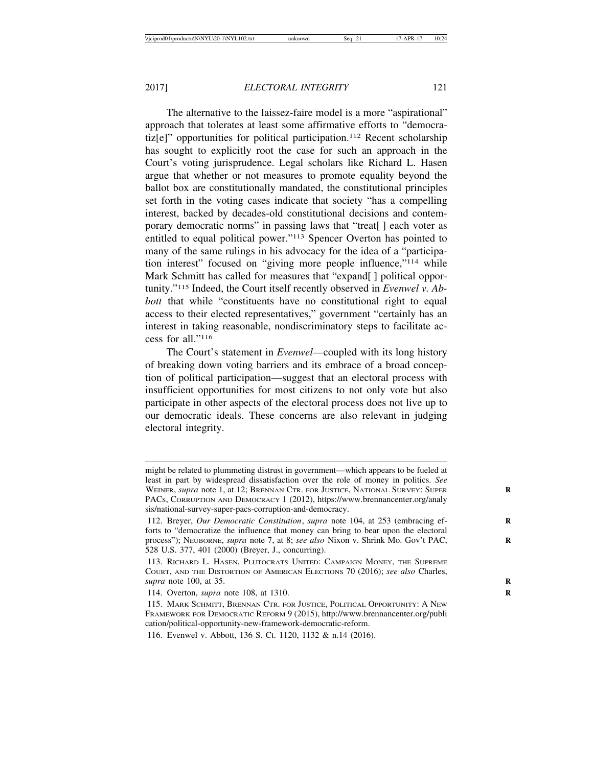The alternative to the laissez-faire model is a more "aspirational" approach that tolerates at least some affirmative efforts to "democratiz[e]" opportunities for political participation.112 Recent scholarship has sought to explicitly root the case for such an approach in the Court's voting jurisprudence. Legal scholars like Richard L. Hasen argue that whether or not measures to promote equality beyond the ballot box are constitutionally mandated, the constitutional principles set forth in the voting cases indicate that society "has a compelling interest, backed by decades-old constitutional decisions and contemporary democratic norms" in passing laws that "treat[ ] each voter as entitled to equal political power."113 Spencer Overton has pointed to many of the same rulings in his advocacy for the idea of a "participation interest" focused on "giving more people influence,"114 while Mark Schmitt has called for measures that "expand[] political opportunity."115 Indeed, the Court itself recently observed in *Evenwel v. Abbott* that while "constituents have no constitutional right to equal access to their elected representatives," government "certainly has an interest in taking reasonable, nondiscriminatory steps to facilitate access for all."116

The Court's statement in *Evenwel—*coupled with its long history of breaking down voting barriers and its embrace of a broad conception of political participation—suggest that an electoral process with insufficient opportunities for most citizens to not only vote but also participate in other aspects of the electoral process does not live up to our democratic ideals. These concerns are also relevant in judging electoral integrity.

might be related to plummeting distrust in government—which appears to be fueled at least in part by widespread dissatisfaction over the role of money in politics. *See* WEINER, *supra* note 1, at 12; BRENNAN CTR. FOR JUSTICE, NATIONAL SURVEY: SUPER **R** PACS, CORRUPTION AND DEMOCRACY 1 (2012), https://www.brennancenter.org/analy sis/national-survey-super-pacs-corruption-and-democracy.

<sup>112.</sup> Breyer, *Our Democratic Constitution*, *supra* note 104, at 253 (embracing efforts to "democratize the influence that money can bring to bear upon the electoral process"); NEUBORNE, *supra* note 7, at 8; *see also* Nixon v. Shrink Mo. Gov't PAC, **R** 528 U.S. 377, 401 (2000) (Breyer, J., concurring).

<sup>113.</sup> RICHARD L. HASEN, PLUTOCRATS UNITED: CAMPAIGN MONEY, THE SUPREME COURT, AND THE DISTORTION OF AMERICAN ELECTIONS 70 (2016); *see also* Charles, *supra* note 100, at 35. **R**

<sup>114.</sup> Overton, *supra* note 108, at 1310. **R**

<sup>115.</sup> MARK SCHMITT, BRENNAN CTR. FOR JUSTICE, POLITICAL OPPORTUNITY: A NEW FRAMEWORK FOR DEMOCRATIC REFORM 9 (2015), http://www.brennancenter.org/publi cation/political-opportunity-new-framework-democratic-reform.

<sup>116.</sup> Evenwel v. Abbott, 136 S. Ct. 1120, 1132 & n.14 (2016).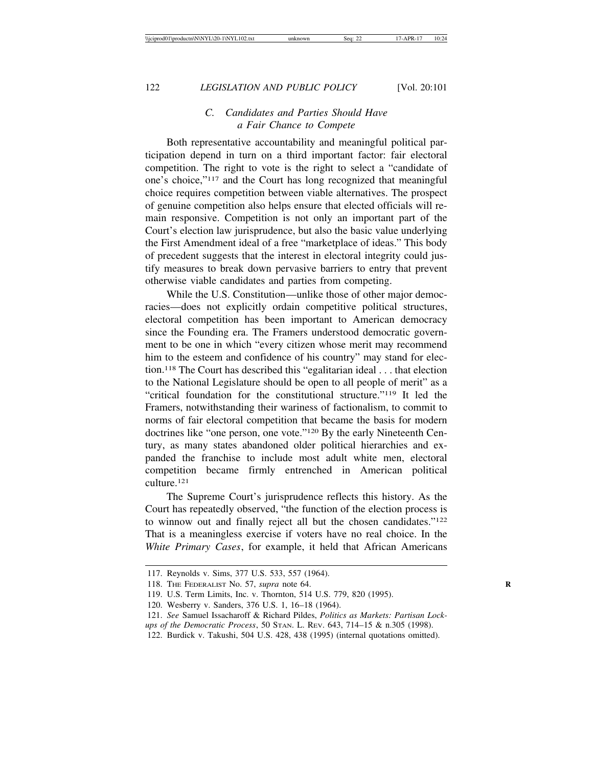# *C. Candidates and Parties Should Have a Fair Chance to Compete*

Both representative accountability and meaningful political participation depend in turn on a third important factor: fair electoral competition. The right to vote is the right to select a "candidate of one's choice,"117 and the Court has long recognized that meaningful choice requires competition between viable alternatives. The prospect of genuine competition also helps ensure that elected officials will remain responsive. Competition is not only an important part of the Court's election law jurisprudence, but also the basic value underlying the First Amendment ideal of a free "marketplace of ideas." This body of precedent suggests that the interest in electoral integrity could justify measures to break down pervasive barriers to entry that prevent otherwise viable candidates and parties from competing.

While the U.S. Constitution—unlike those of other major democracies—does not explicitly ordain competitive political structures, electoral competition has been important to American democracy since the Founding era. The Framers understood democratic government to be one in which "every citizen whose merit may recommend him to the esteem and confidence of his country" may stand for election.118 The Court has described this "egalitarian ideal . . . that election to the National Legislature should be open to all people of merit" as a "critical foundation for the constitutional structure."119 It led the Framers, notwithstanding their wariness of factionalism, to commit to norms of fair electoral competition that became the basis for modern doctrines like "one person, one vote."120 By the early Nineteenth Century, as many states abandoned older political hierarchies and expanded the franchise to include most adult white men, electoral competition became firmly entrenched in American political culture.121

The Supreme Court's jurisprudence reflects this history. As the Court has repeatedly observed, "the function of the election process is to winnow out and finally reject all but the chosen candidates."122 That is a meaningless exercise if voters have no real choice. In the *White Primary Cases*, for example, it held that African Americans

<sup>117.</sup> Reynolds v. Sims, 377 U.S. 533, 557 (1964).

<sup>118.</sup> THE FEDERALIST No. 57, *supra* note 64. **R**

<sup>119.</sup> U.S. Term Limits, Inc. v. Thornton, 514 U.S. 779, 820 (1995).

<sup>120.</sup> Wesberry v. Sanders, 376 U.S. 1, 16–18 (1964).

<sup>121.</sup> *See* Samuel Issacharoff & Richard Pildes, *Politics as Markets: Partisan Lockups of the Democratic Process*, 50 STAN. L. REV. 643, 714–15 & n.305 (1998).

<sup>122.</sup> Burdick v. Takushi, 504 U.S. 428, 438 (1995) (internal quotations omitted).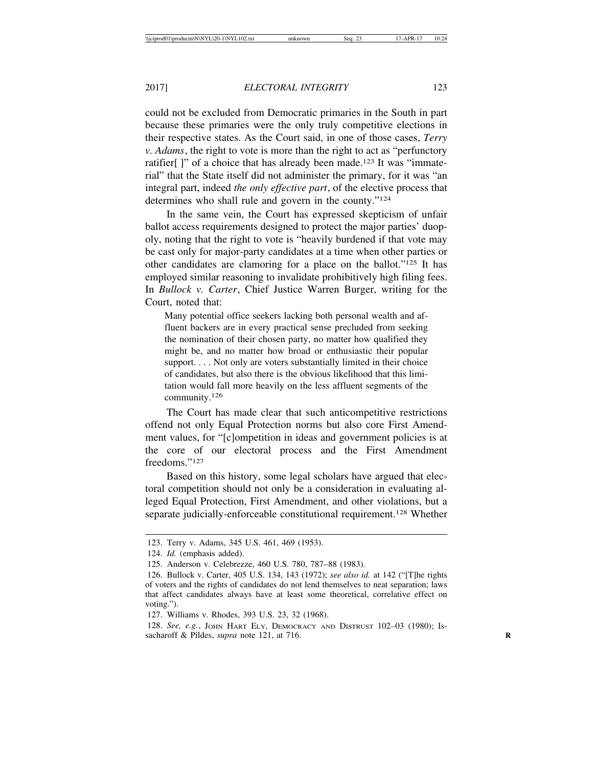could not be excluded from Democratic primaries in the South in part because these primaries were the only truly competitive elections in their respective states. As the Court said, in one of those cases, *Terry v. Adams*, the right to vote is more than the right to act as "perfunctory ratifier[ ]" of a choice that has already been made.123 It was "immaterial" that the State itself did not administer the primary, for it was "an integral part, indeed *the only effective part*, of the elective process that determines who shall rule and govern in the county."124

In the same vein, the Court has expressed skepticism of unfair ballot access requirements designed to protect the major parties' duopoly, noting that the right to vote is "heavily burdened if that vote may be cast only for major-party candidates at a time when other parties or other candidates are clamoring for a place on the ballot."125 It has employed similar reasoning to invalidate prohibitively high filing fees. In *Bullock v. Carter*, Chief Justice Warren Burger, writing for the Court, noted that:

Many potential office seekers lacking both personal wealth and affluent backers are in every practical sense precluded from seeking the nomination of their chosen party, no matter how qualified they might be, and no matter how broad or enthusiastic their popular support. . . . Not only are voters substantially limited in their choice of candidates, but also there is the obvious likelihood that this limitation would fall more heavily on the less affluent segments of the community.<sup>126</sup>

The Court has made clear that such anticompetitive restrictions offend not only Equal Protection norms but also core First Amendment values, for "[c]ompetition in ideas and government policies is at the core of our electoral process and the First Amendment freedoms."<sup>127</sup>

Based on this history, some legal scholars have argued that electoral competition should not only be a consideration in evaluating alleged Equal Protection, First Amendment, and other violations, but a separate judicially-enforceable constitutional requirement.<sup>128</sup> Whether

<sup>123.</sup> Terry v. Adams, 345 U.S. 461, 469 (1953).

<sup>124.</sup> *Id.* (emphasis added).

<sup>125.</sup> Anderson v. Celebrezze, 460 U.S. 780, 787–88 (1983).

<sup>126.</sup> Bullock v. Carter, 405 U.S. 134, 143 (1972); *see also id.* at 142 ("[T]he rights of voters and the rights of candidates do not lend themselves to neat separation; laws that affect candidates always have at least some theoretical, correlative effect on voting.").

<sup>127.</sup> Williams v. Rhodes, 393 U.S. 23, 32 (1968).

<sup>128.</sup> *See, e.g.*, JOHN HART ELY, DEMOCRACY AND DISTRUST 102–03 (1980); Issacharoff & Pildes, *supra* note 121, at 716. **R**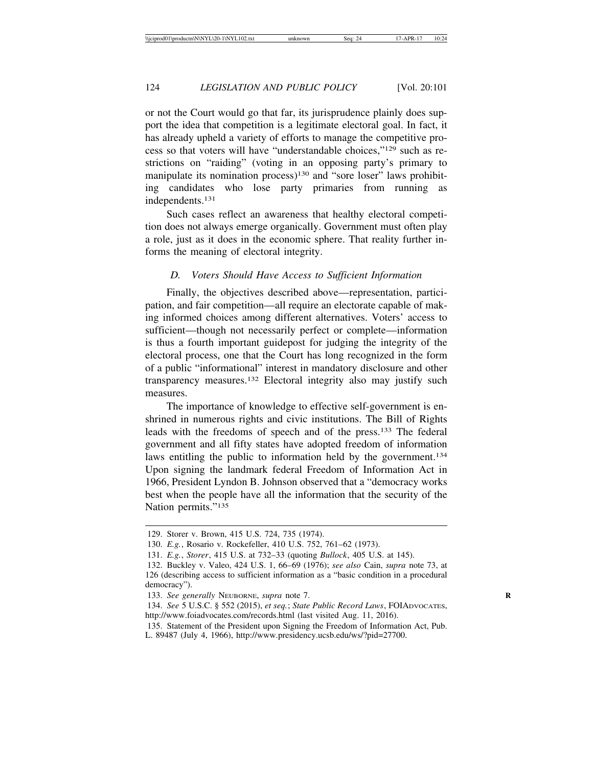or not the Court would go that far, its jurisprudence plainly does support the idea that competition is a legitimate electoral goal. In fact, it has already upheld a variety of efforts to manage the competitive process so that voters will have "understandable choices,"129 such as restrictions on "raiding" (voting in an opposing party's primary to manipulate its nomination process)<sup>130</sup> and "sore loser" laws prohibiting candidates who lose party primaries from running as independents.131

Such cases reflect an awareness that healthy electoral competition does not always emerge organically. Government must often play a role, just as it does in the economic sphere. That reality further informs the meaning of electoral integrity.

### *D. Voters Should Have Access to Sufficient Information*

Finally, the objectives described above—representation, participation, and fair competition—all require an electorate capable of making informed choices among different alternatives. Voters' access to sufficient—though not necessarily perfect or complete—information is thus a fourth important guidepost for judging the integrity of the electoral process, one that the Court has long recognized in the form of a public "informational" interest in mandatory disclosure and other transparency measures.132 Electoral integrity also may justify such measures.

The importance of knowledge to effective self-government is enshrined in numerous rights and civic institutions. The Bill of Rights leads with the freedoms of speech and of the press.133 The federal government and all fifty states have adopted freedom of information laws entitling the public to information held by the government.<sup>134</sup> Upon signing the landmark federal Freedom of Information Act in 1966, President Lyndon B. Johnson observed that a "democracy works best when the people have all the information that the security of the Nation permits."<sup>135</sup>

<sup>129.</sup> Storer v. Brown, 415 U.S. 724, 735 (1974).

<sup>130.</sup> *E.g.*, Rosario v. Rockefeller, 410 U.S. 752, 761–62 (1973).

<sup>131.</sup> *E.g.*, *Storer*, 415 U.S. at 732–33 (quoting *Bullock*, 405 U.S. at 145).

<sup>132.</sup> Buckley v. Valeo, 424 U.S. 1, 66–69 (1976); *see also* Cain, *supra* note 73, at 126 (describing access to sufficient information as a "basic condition in a procedural democracy").

<sup>133.</sup> *See generally* NEUBORNE, *supra* note 7. **R**

<sup>134.</sup> *See* 5 U.S.C. § 552 (2015), *et seq.*; *State Public Record Laws*, FOIADVOCATES, http://www.foiadvocates.com/records.html (last visited Aug. 11, 2016).

<sup>135.</sup> Statement of the President upon Signing the Freedom of Information Act, Pub. L. 89487 (July 4, 1966), http://www.presidency.ucsb.edu/ws/?pid=27700.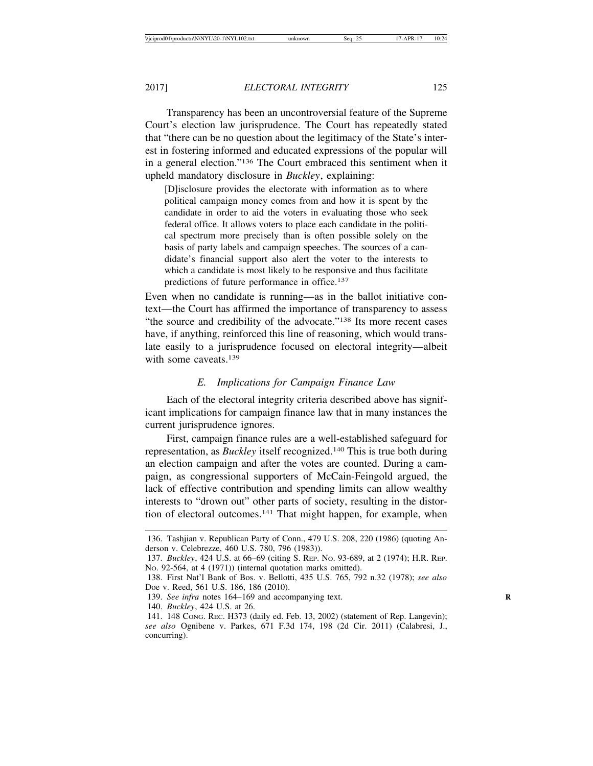Transparency has been an uncontroversial feature of the Supreme Court's election law jurisprudence. The Court has repeatedly stated that "there can be no question about the legitimacy of the State's interest in fostering informed and educated expressions of the popular will in a general election."136 The Court embraced this sentiment when it upheld mandatory disclosure in *Buckley*, explaining:

[D]isclosure provides the electorate with information as to where political campaign money comes from and how it is spent by the candidate in order to aid the voters in evaluating those who seek federal office. It allows voters to place each candidate in the political spectrum more precisely than is often possible solely on the basis of party labels and campaign speeches. The sources of a candidate's financial support also alert the voter to the interests to which a candidate is most likely to be responsive and thus facilitate predictions of future performance in office.137

Even when no candidate is running—as in the ballot initiative context—the Court has affirmed the importance of transparency to assess "the source and credibility of the advocate."<sup>138</sup> Its more recent cases have, if anything, reinforced this line of reasoning, which would translate easily to a jurisprudence focused on electoral integrity—albeit with some caveats.<sup>139</sup>

# *E. Implications for Campaign Finance Law*

Each of the electoral integrity criteria described above has significant implications for campaign finance law that in many instances the current jurisprudence ignores.

First, campaign finance rules are a well-established safeguard for representation, as *Buckley* itself recognized.140 This is true both during an election campaign and after the votes are counted. During a campaign, as congressional supporters of McCain-Feingold argued, the lack of effective contribution and spending limits can allow wealthy interests to "drown out" other parts of society, resulting in the distortion of electoral outcomes.141 That might happen, for example, when

<sup>136.</sup> Tashjian v. Republican Party of Conn., 479 U.S. 208, 220 (1986) (quoting Anderson v. Celebrezze, 460 U.S. 780, 796 (1983)).

<sup>137.</sup> *Buckley*, 424 U.S. at 66–69 (citing S. REP. NO. 93-689, at 2 (1974); H.R. REP. NO. 92-564, at 4 (1971)) (internal quotation marks omitted).

<sup>138.</sup> First Nat'l Bank of Bos. v. Bellotti, 435 U.S. 765, 792 n.32 (1978); *see also* Doe v. Reed, 561 U.S. 186, 186 (2010).

<sup>139.</sup> See infra notes 164–169 and accompanying text.

<sup>140.</sup> *Buckley*, 424 U.S. at 26.

<sup>141. 148</sup> CONG. REC. H373 (daily ed. Feb. 13, 2002) (statement of Rep. Langevin); *see also* Ognibene v. Parkes, 671 F.3d 174, 198 (2d Cir. 2011) (Calabresi, J., concurring).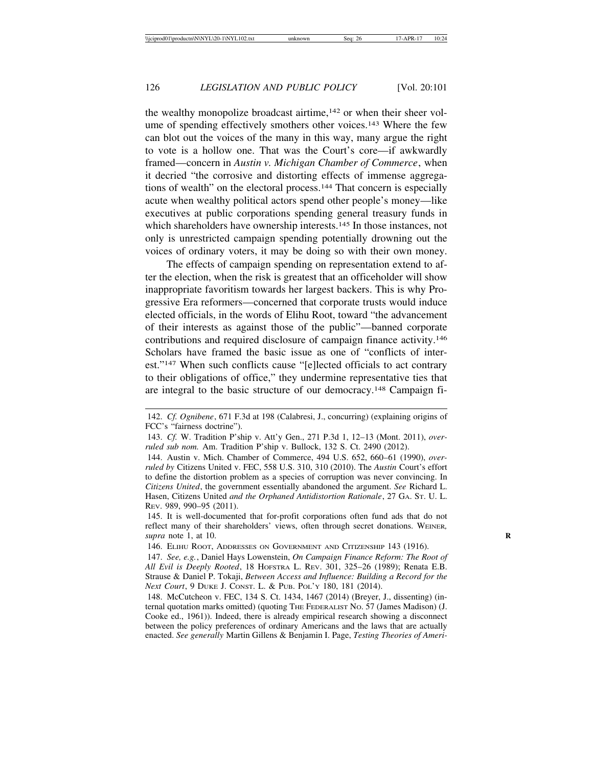the wealthy monopolize broadcast airtime,<sup>142</sup> or when their sheer volume of spending effectively smothers other voices.<sup>143</sup> Where the few can blot out the voices of the many in this way, many argue the right to vote is a hollow one. That was the Court's core—if awkwardly framed—concern in *Austin v. Michigan Chamber of Commerce*, when it decried "the corrosive and distorting effects of immense aggregations of wealth" on the electoral process.144 That concern is especially acute when wealthy political actors spend other people's money—like executives at public corporations spending general treasury funds in which shareholders have ownership interests.<sup>145</sup> In those instances, not only is unrestricted campaign spending potentially drowning out the voices of ordinary voters, it may be doing so with their own money.

The effects of campaign spending on representation extend to after the election, when the risk is greatest that an officeholder will show inappropriate favoritism towards her largest backers. This is why Progressive Era reformers—concerned that corporate trusts would induce elected officials, in the words of Elihu Root, toward "the advancement of their interests as against those of the public"—banned corporate contributions and required disclosure of campaign finance activity.146 Scholars have framed the basic issue as one of "conflicts of interest."147 When such conflicts cause "[e]lected officials to act contrary to their obligations of office," they undermine representative ties that are integral to the basic structure of our democracy.148 Campaign fi-

<sup>142.</sup> *Cf. Ognibene*, 671 F.3d at 198 (Calabresi, J., concurring) (explaining origins of FCC's "fairness doctrine").

<sup>143.</sup> *Cf.* W. Tradition P'ship v. Att'y Gen., 271 P.3d 1, 12–13 (Mont. 2011), *overruled sub nom.* Am. Tradition P'ship v. Bullock, 132 S. Ct. 2490 (2012).

<sup>144.</sup> Austin v. Mich. Chamber of Commerce, 494 U.S. 652, 660–61 (1990), *overruled by* Citizens United v. FEC, 558 U.S. 310, 310 (2010). The *Austin* Court's effort to define the distortion problem as a species of corruption was never convincing. In *Citizens United*, the government essentially abandoned the argument. *See* Richard L. Hasen, Citizens United *and the Orphaned Antidistortion Rationale*, 27 GA. ST. U. L. REV. 989, 990–95 (2011).

<sup>145.</sup> It is well-documented that for-profit corporations often fund ads that do not reflect many of their shareholders' views, often through secret donations. WEINER*, supra* note 1, at 10. **R**

<sup>146.</sup> ELIHU ROOT, ADDRESSES ON GOVERNMENT AND CITIZENSHIP 143 (1916).

<sup>147.</sup> *See, e.g.*, Daniel Hays Lowenstein, *On Campaign Finance Reform: The Root of All Evil is Deeply Rooted*, 18 HOFSTRA L. REV. 301, 325–26 (1989); Renata E.B. Strause & Daniel P. Tokaji, *Between Access and Influence: Building a Record for the Next Court*, 9 DUKE J. CONST. L. & PUB. POL'Y 180, 181 (2014).

<sup>148.</sup> McCutcheon v. FEC, 134 S. Ct. 1434, 1467 (2014) (Breyer, J., dissenting) (internal quotation marks omitted) (quoting THE FEDERALIST NO. 57 (James Madison) (J. Cooke ed., 1961)). Indeed, there is already empirical research showing a disconnect between the policy preferences of ordinary Americans and the laws that are actually enacted. *See generally* Martin Gillens & Benjamin I. Page, *Testing Theories of Ameri-*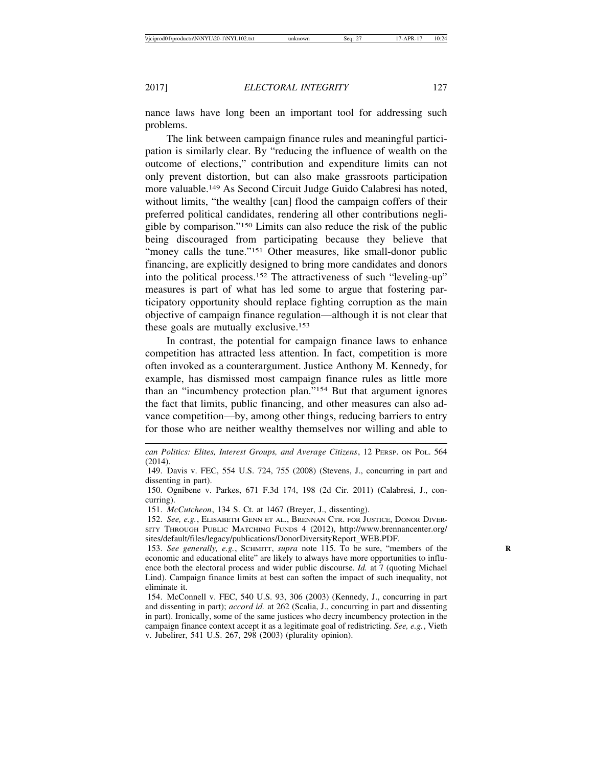nance laws have long been an important tool for addressing such problems.

The link between campaign finance rules and meaningful participation is similarly clear. By "reducing the influence of wealth on the outcome of elections," contribution and expenditure limits can not only prevent distortion, but can also make grassroots participation more valuable.149 As Second Circuit Judge Guido Calabresi has noted, without limits, "the wealthy [can] flood the campaign coffers of their preferred political candidates, rendering all other contributions negligible by comparison."150 Limits can also reduce the risk of the public being discouraged from participating because they believe that "money calls the tune."<sup>151</sup> Other measures, like small-donor public financing, are explicitly designed to bring more candidates and donors into the political process.152 The attractiveness of such "leveling-up" measures is part of what has led some to argue that fostering participatory opportunity should replace fighting corruption as the main objective of campaign finance regulation—although it is not clear that these goals are mutually exclusive.<sup>153</sup>

In contrast, the potential for campaign finance laws to enhance competition has attracted less attention. In fact, competition is more often invoked as a counterargument. Justice Anthony M. Kennedy, for example, has dismissed most campaign finance rules as little more than an "incumbency protection plan."154 But that argument ignores the fact that limits, public financing, and other measures can also advance competition—by, among other things, reducing barriers to entry for those who are neither wealthy themselves nor willing and able to

151. *McCutcheon*, 134 S. Ct. at 1467 (Breyer, J., dissenting).

152. *See, e.g.*, ELISABETH GENN ET AL., BRENNAN CTR. FOR JUSTICE, DONOR DIVER-SITY THROUGH PUBLIC MATCHING FUNDS 4 (2012), http://www.brennancenter.org/ sites/default/files/legacy/publications/DonorDiversityReport\_WEB.PDF.

153. See generally, e.g., SCHMITT, *supra* note 115. To be sure, "members of the economic and educational elite" are likely to always have more opportunities to influence both the electoral process and wider public discourse. *Id.* at 7 (quoting Michael Lind). Campaign finance limits at best can soften the impact of such inequality, not eliminate it.

154. McConnell v. FEC, 540 U.S. 93, 306 (2003) (Kennedy, J., concurring in part and dissenting in part); *accord id.* at 262 (Scalia, J., concurring in part and dissenting in part). Ironically, some of the same justices who decry incumbency protection in the campaign finance context accept it as a legitimate goal of redistricting. *See, e.g.*, Vieth v. Jubelirer, 541 U.S. 267, 298 (2003) (plurality opinion).

*can Politics: Elites, Interest Groups, and Average Citizens*, 12 PERSP. ON POL. 564 (2014).

<sup>149.</sup> Davis v. FEC, 554 U.S. 724, 755 (2008) (Stevens, J., concurring in part and dissenting in part).

<sup>150.</sup> Ognibene v. Parkes, 671 F.3d 174, 198 (2d Cir. 2011) (Calabresi, J., concurring).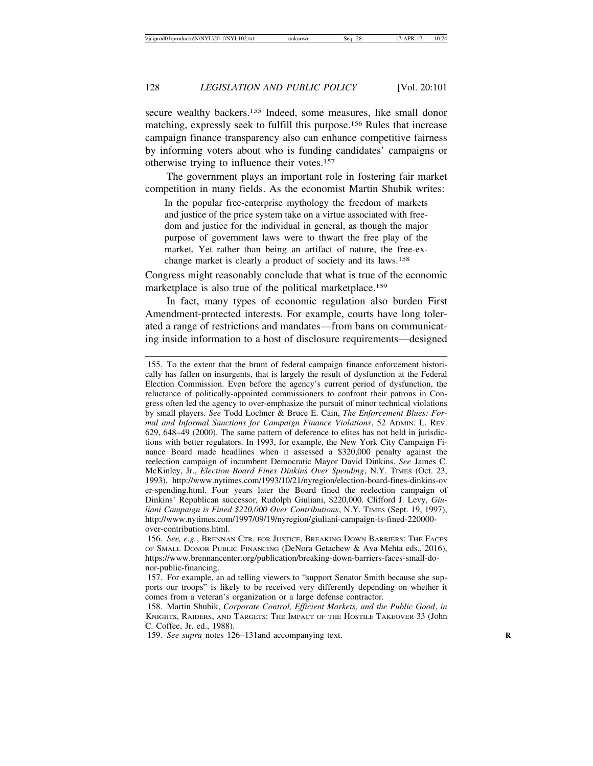secure wealthy backers.<sup>155</sup> Indeed, some measures, like small donor matching, expressly seek to fulfill this purpose.156 Rules that increase campaign finance transparency also can enhance competitive fairness by informing voters about who is funding candidates' campaigns or otherwise trying to influence their votes.157

The government plays an important role in fostering fair market competition in many fields. As the economist Martin Shubik writes:

In the popular free-enterprise mythology the freedom of markets and justice of the price system take on a virtue associated with freedom and justice for the individual in general, as though the major purpose of government laws were to thwart the free play of the market. Yet rather than being an artifact of nature, the free-exchange market is clearly a product of society and its laws.158

Congress might reasonably conclude that what is true of the economic marketplace is also true of the political marketplace.159

In fact, many types of economic regulation also burden First Amendment-protected interests. For example, courts have long tolerated a range of restrictions and mandates—from bans on communicating inside information to a host of disclosure requirements—designed

<sup>155.</sup> To the extent that the brunt of federal campaign finance enforcement historically has fallen on insurgents, that is largely the result of dysfunction at the Federal Election Commission. Even before the agency's current period of dysfunction, the reluctance of politically-appointed commissioners to confront their patrons in Congress often led the agency to over-emphasize the pursuit of minor technical violations by small players. *See* Todd Lochner & Bruce E. Cain, *The Enforcement Blues: Formal and Informal Sanctions for Campaign Finance Violations*, 52 ADMIN. L. REV. 629, 648–49 (2000). The same pattern of deference to elites has not held in jurisdictions with better regulators. In 1993, for example, the New York City Campaign Finance Board made headlines when it assessed a \$320,000 penalty against the reelection campaign of incumbent Democratic Mayor David Dinkins. *See* James C. McKinley, Jr., *Election Board Fines Dinkins Over Spending*, N.Y. TIMES (Oct. 23, 1993), http://www.nytimes.com/1993/10/21/nyregion/election-board-fines-dinkins-ov er-spending.html. Four years later the Board fined the reelection campaign of Dinkins' Republican successor, Rudolph Giuliani, \$220,000. Clifford J. Levy, *Giuliani Campaign is Fined \$220,000 Over Contributions*, N.Y. TIMES (Sept. 19, 1997), http://www.nytimes.com/1997/09/19/nyregion/giuliani-campaign-is-fined-220000 over-contributions.html.

<sup>156.</sup> *See, e.g.*, BRENNAN CTR. FOR JUSTICE, BREAKING DOWN BARRIERS: THE FACES OF SMALL DONOR PUBLIC FINANCING (DeNora Getachew & Ava Mehta eds., 2016), https://www.brennancenter.org/publication/breaking-down-barriers-faces-small-donor-public-financing.

<sup>157.</sup> For example, an ad telling viewers to "support Senator Smith because she supports our troops" is likely to be received very differently depending on whether it comes from a veteran's organization or a large defense contractor.

<sup>158.</sup> Martin Shubik, *Corporate Control, Efficient Markets, and the Public Good*, *in* KNIGHTS, RAIDERS, AND TARGETS: THE IMPACT OF THE HOSTILE TAKEOVER 33 (John C. Coffee, Jr. ed., 1988).

<sup>159.</sup> *See supra* notes 126–131and accompanying text. **R**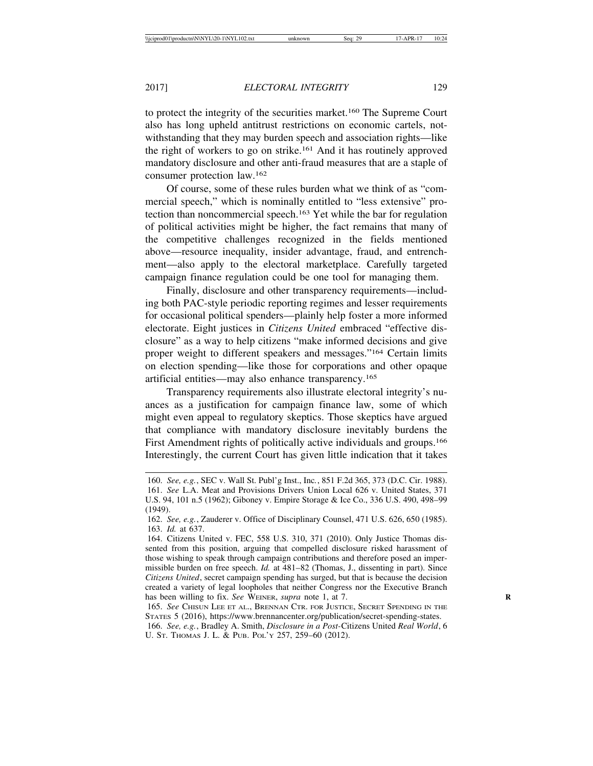to protect the integrity of the securities market.160 The Supreme Court also has long upheld antitrust restrictions on economic cartels, notwithstanding that they may burden speech and association rights—like the right of workers to go on strike.161 And it has routinely approved mandatory disclosure and other anti-fraud measures that are a staple of consumer protection law.162

Of course, some of these rules burden what we think of as "commercial speech," which is nominally entitled to "less extensive" protection than noncommercial speech.163 Yet while the bar for regulation of political activities might be higher, the fact remains that many of the competitive challenges recognized in the fields mentioned above—resource inequality, insider advantage, fraud, and entrenchment—also apply to the electoral marketplace. Carefully targeted campaign finance regulation could be one tool for managing them.

Finally, disclosure and other transparency requirements—including both PAC-style periodic reporting regimes and lesser requirements for occasional political spenders—plainly help foster a more informed electorate. Eight justices in *Citizens United* embraced "effective disclosure" as a way to help citizens "make informed decisions and give proper weight to different speakers and messages."164 Certain limits on election spending—like those for corporations and other opaque artificial entities—may also enhance transparency.165

Transparency requirements also illustrate electoral integrity's nuances as a justification for campaign finance law, some of which might even appeal to regulatory skeptics. Those skeptics have argued that compliance with mandatory disclosure inevitably burdens the First Amendment rights of politically active individuals and groups.<sup>166</sup> Interestingly, the current Court has given little indication that it takes

<sup>160.</sup> *See, e.g.*, SEC v. Wall St. Publ'g Inst., Inc*.*, 851 F.2d 365, 373 (D.C. Cir. 1988). 161. *See* L.A. Meat and Provisions Drivers Union Local 626 v. United States, 371 U.S. 94, 101 n.5 (1962); Giboney v. Empire Storage & Ice Co., 336 U.S. 490, 498–99 (1949).

<sup>162.</sup> *See, e.g.*, Zauderer v. Office of Disciplinary Counsel, 471 U.S. 626, 650 (1985). 163. *Id.* at 637.

<sup>164.</sup> Citizens United v. FEC, 558 U.S. 310, 371 (2010). Only Justice Thomas dissented from this position, arguing that compelled disclosure risked harassment of those wishing to speak through campaign contributions and therefore posed an impermissible burden on free speech. *Id.* at 481–82 (Thomas, J., dissenting in part). Since *Citizens United*, secret campaign spending has surged, but that is because the decision created a variety of legal loopholes that neither Congress nor the Executive Branch has been willing to fix. See WEINER, *supra* note 1, at 7.

<sup>165.</sup> *See* CHISUN LEE ET AL., BRENNAN CTR. FOR JUSTICE, SECRET SPENDING IN THE STATES 5 (2016), https://www.brennancenter.org/publication/secret-spending-states.

<sup>166.</sup> *See, e.g.*, Bradley A. Smith, *Disclosure in a Post-*Citizens United *Real World*, 6 U. ST. THOMAS J. L. & PUB. POL'Y 257, 259–60 (2012).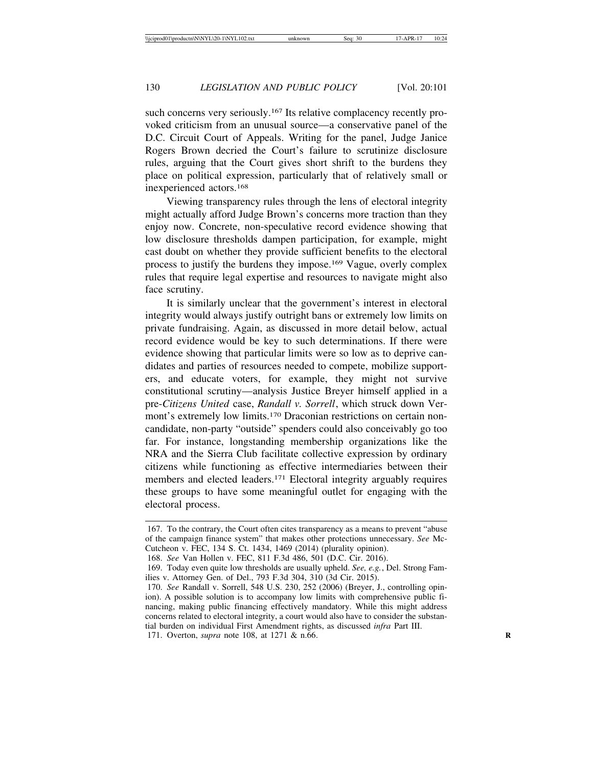such concerns very seriously.<sup>167</sup> Its relative complacency recently provoked criticism from an unusual source—a conservative panel of the D.C. Circuit Court of Appeals. Writing for the panel, Judge Janice Rogers Brown decried the Court's failure to scrutinize disclosure rules, arguing that the Court gives short shrift to the burdens they place on political expression, particularly that of relatively small or inexperienced actors.168

Viewing transparency rules through the lens of electoral integrity might actually afford Judge Brown's concerns more traction than they enjoy now. Concrete, non-speculative record evidence showing that low disclosure thresholds dampen participation, for example, might cast doubt on whether they provide sufficient benefits to the electoral process to justify the burdens they impose.169 Vague, overly complex rules that require legal expertise and resources to navigate might also face scrutiny.

It is similarly unclear that the government's interest in electoral integrity would always justify outright bans or extremely low limits on private fundraising. Again, as discussed in more detail below, actual record evidence would be key to such determinations. If there were evidence showing that particular limits were so low as to deprive candidates and parties of resources needed to compete, mobilize supporters, and educate voters, for example, they might not survive constitutional scrutiny—analysis Justice Breyer himself applied in a pre-*Citizens United* case, *Randall v. Sorrell*, which struck down Vermont's extremely low limits.170 Draconian restrictions on certain noncandidate, non-party "outside" spenders could also conceivably go too far. For instance, longstanding membership organizations like the NRA and the Sierra Club facilitate collective expression by ordinary citizens while functioning as effective intermediaries between their members and elected leaders.<sup>171</sup> Electoral integrity arguably requires these groups to have some meaningful outlet for engaging with the electoral process.

<sup>167.</sup> To the contrary, the Court often cites transparency as a means to prevent "abuse of the campaign finance system" that makes other protections unnecessary. *See* Mc-Cutcheon v. FEC, 134 S. Ct. 1434, 1469 (2014) (plurality opinion).

<sup>168.</sup> *See* Van Hollen v. FEC, 811 F.3d 486, 501 (D.C. Cir. 2016).

<sup>169.</sup> Today even quite low thresholds are usually upheld. *See, e.g.*, Del. Strong Families v. Attorney Gen. of Del., 793 F.3d 304, 310 (3d Cir. 2015).

<sup>170.</sup> *See* Randall v. Sorrell, 548 U.S. 230, 252 (2006) (Breyer, J., controlling opinion). A possible solution is to accompany low limits with comprehensive public financing, making public financing effectively mandatory. While this might address concerns related to electoral integrity, a court would also have to consider the substantial burden on individual First Amendment rights, as discussed *infra* Part III.

<sup>171.</sup> Overton, *supra* note 108, at 1271 & n.66. **R**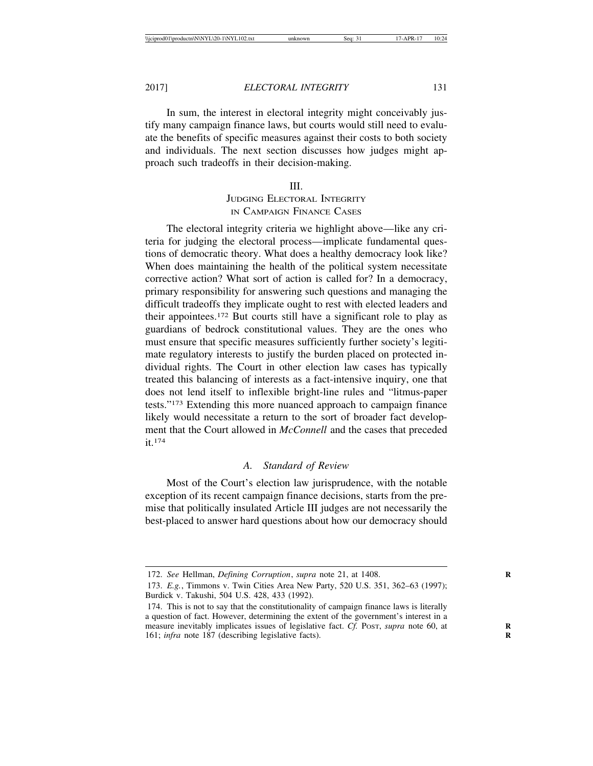In sum, the interest in electoral integrity might conceivably justify many campaign finance laws, but courts would still need to evaluate the benefits of specific measures against their costs to both society and individuals. The next section discusses how judges might approach such tradeoffs in their decision-making.

#### III.

# JUDGING ELECTORAL INTEGRITY IN CAMPAIGN FINANCE CASES

The electoral integrity criteria we highlight above—like any criteria for judging the electoral process—implicate fundamental questions of democratic theory. What does a healthy democracy look like? When does maintaining the health of the political system necessitate corrective action? What sort of action is called for? In a democracy, primary responsibility for answering such questions and managing the difficult tradeoffs they implicate ought to rest with elected leaders and their appointees.172 But courts still have a significant role to play as guardians of bedrock constitutional values. They are the ones who must ensure that specific measures sufficiently further society's legitimate regulatory interests to justify the burden placed on protected individual rights. The Court in other election law cases has typically treated this balancing of interests as a fact-intensive inquiry, one that does not lend itself to inflexible bright-line rules and "litmus-paper tests."173 Extending this more nuanced approach to campaign finance likely would necessitate a return to the sort of broader fact development that the Court allowed in *McConnell* and the cases that preceded it.174

# *A. Standard of Review*

Most of the Court's election law jurisprudence, with the notable exception of its recent campaign finance decisions, starts from the premise that politically insulated Article III judges are not necessarily the best-placed to answer hard questions about how our democracy should

<sup>172.</sup> *See* Hellman, *Defining Corruption*, *supra* note 21, at 1408. **R**

<sup>173.</sup> *E.g.*, Timmons v. Twin Cities Area New Party, 520 U.S. 351, 362–63 (1997); Burdick v. Takushi, 504 U.S. 428, 433 (1992).

<sup>174.</sup> This is not to say that the constitutionality of campaign finance laws is literally a question of fact. However, determining the extent of the government's interest in a measure inevitably implicates issues of legislative fact. *Cf.* Post, *supra* note 60, at 161; *infra* note 187 (describing legislative facts).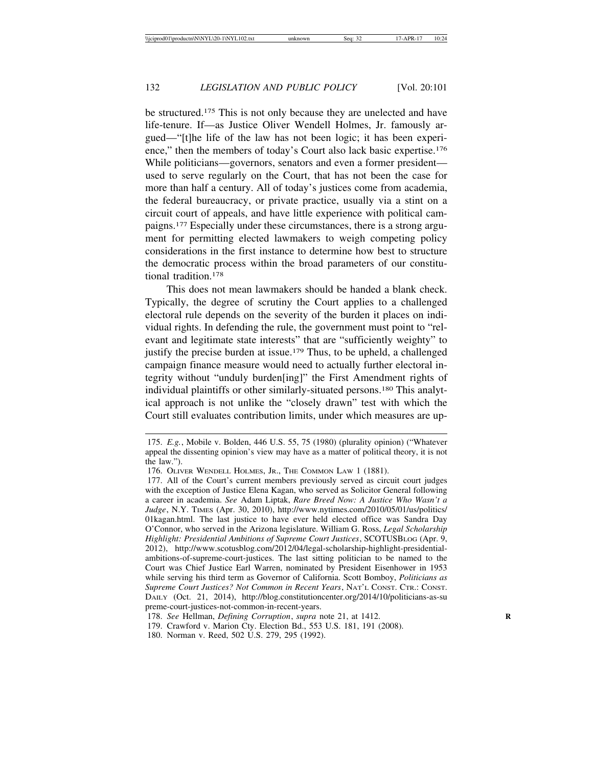be structured.175 This is not only because they are unelected and have life-tenure. If—as Justice Oliver Wendell Holmes, Jr. famously argued—"[t]he life of the law has not been logic; it has been experience," then the members of today's Court also lack basic expertise.176 While politicians—governors, senators and even a former president used to serve regularly on the Court, that has not been the case for more than half a century. All of today's justices come from academia, the federal bureaucracy, or private practice, usually via a stint on a circuit court of appeals, and have little experience with political campaigns.177 Especially under these circumstances, there is a strong argument for permitting elected lawmakers to weigh competing policy considerations in the first instance to determine how best to structure the democratic process within the broad parameters of our constitutional tradition.178

This does not mean lawmakers should be handed a blank check. Typically, the degree of scrutiny the Court applies to a challenged electoral rule depends on the severity of the burden it places on individual rights. In defending the rule, the government must point to "relevant and legitimate state interests" that are "sufficiently weighty" to justify the precise burden at issue.179 Thus, to be upheld, a challenged campaign finance measure would need to actually further electoral integrity without "unduly burden[ing]" the First Amendment rights of individual plaintiffs or other similarly-situated persons.180 This analytical approach is not unlike the "closely drawn" test with which the Court still evaluates contribution limits, under which measures are up-

<sup>175.</sup> *E.g.*, Mobile v. Bolden, 446 U.S. 55, 75 (1980) (plurality opinion) ("Whatever appeal the dissenting opinion's view may have as a matter of political theory, it is not the law.").

<sup>176.</sup> OLIVER WENDELL HOLMES, JR., THE COMMON LAW 1 (1881).

<sup>177.</sup> All of the Court's current members previously served as circuit court judges with the exception of Justice Elena Kagan, who served as Solicitor General following a career in academia. *See* Adam Liptak, *Rare Breed Now: A Justice Who Wasn't a Judge*, N.Y. TIMES (Apr. 30, 2010), http://www.nytimes.com/2010/05/01/us/politics/ 01kagan.html. The last justice to have ever held elected office was Sandra Day O'Connor, who served in the Arizona legislature. William G. Ross, *Legal Scholarship Highlight: Presidential Ambitions of Supreme Court Justices*, SCOTUSBLOG (Apr. 9, 2012), http://www.scotusblog.com/2012/04/legal-scholarship-highlight-presidentialambitions-of-supreme-court-justices. The last sitting politician to be named to the Court was Chief Justice Earl Warren, nominated by President Eisenhower in 1953 while serving his third term as Governor of California. Scott Bomboy, *Politicians as Supreme Court Justices? Not Common in Recent Years*, NAT'L CONST. CTR.: CONST. DAILY (Oct. 21, 2014), http://blog.constitutioncenter.org/2014/10/politicians-as-su preme-court-justices-not-common-in-recent-years.

<sup>178.</sup> *See* Hellman, *Defining Corruption*, *supra* note 21, at 1412. **R**

<sup>179.</sup> Crawford v. Marion Cty. Election Bd., 553 U.S. 181, 191 (2008).

<sup>180.</sup> Norman v. Reed, 502 U.S. 279, 295 (1992).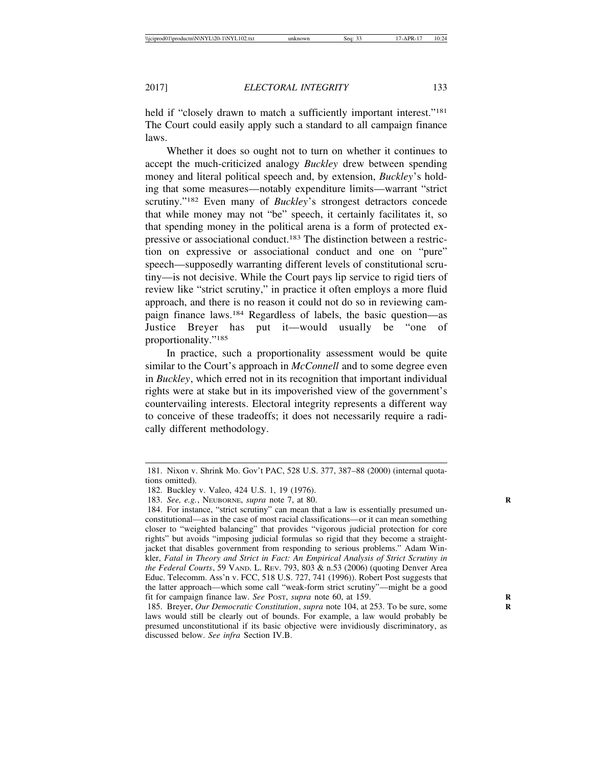held if "closely drawn to match a sufficiently important interest."<sup>181</sup> The Court could easily apply such a standard to all campaign finance laws.

Whether it does so ought not to turn on whether it continues to accept the much-criticized analogy *Buckley* drew between spending money and literal political speech and, by extension, *Buckley*'s holding that some measures—notably expenditure limits—warrant "strict scrutiny."182 Even many of *Buckley*'s strongest detractors concede that while money may not "be" speech, it certainly facilitates it, so that spending money in the political arena is a form of protected expressive or associational conduct.183 The distinction between a restriction on expressive or associational conduct and one on "pure" speech—supposedly warranting different levels of constitutional scrutiny—is not decisive. While the Court pays lip service to rigid tiers of review like "strict scrutiny," in practice it often employs a more fluid approach, and there is no reason it could not do so in reviewing campaign finance laws.184 Regardless of labels, the basic question—as Justice Breyer has put it—would usually be "one of proportionality."185

In practice, such a proportionality assessment would be quite similar to the Court's approach in *McConnell* and to some degree even in *Buckley*, which erred not in its recognition that important individual rights were at stake but in its impoverished view of the government's countervailing interests. Electoral integrity represents a different way to conceive of these tradeoffs; it does not necessarily require a radically different methodology.

<sup>181.</sup> Nixon v. Shrink Mo. Gov't PAC, 528 U.S. 377, 387–88 (2000) (internal quotations omitted).

<sup>182.</sup> Buckley v. Valeo, 424 U.S. 1, 19 (1976).

<sup>183.</sup> *See, e.g.*, NEUBORNE, *supra* note 7, at 80. **R**

<sup>184.</sup> For instance, "strict scrutiny" can mean that a law is essentially presumed unconstitutional—as in the case of most racial classifications—or it can mean something closer to "weighted balancing" that provides "vigorous judicial protection for core rights" but avoids "imposing judicial formulas so rigid that they become a straightjacket that disables government from responding to serious problems." Adam Winkler, *Fatal in Theory and Strict in Fact: An Empirical Analysis of Strict Scrutiny in the Federal Courts*, 59 VAND. L. REV. 793, 803 & n.53 (2006) (quoting Denver Area Educ. Telecomm. Ass'n v. FCC, 518 U.S. 727, 741 (1996)). Robert Post suggests that the latter approach—which some call "weak-form strict scrutiny"—might be a good fit for campaign finance law. See Post, supra note 60, at 159.

<sup>185.</sup> Breyer, *Our Democratic Constitution*, *supra* note 104, at 253. To be sure, some **R** laws would still be clearly out of bounds. For example, a law would probably be presumed unconstitutional if its basic objective were invidiously discriminatory, as discussed below. *See infra* Section IV.B.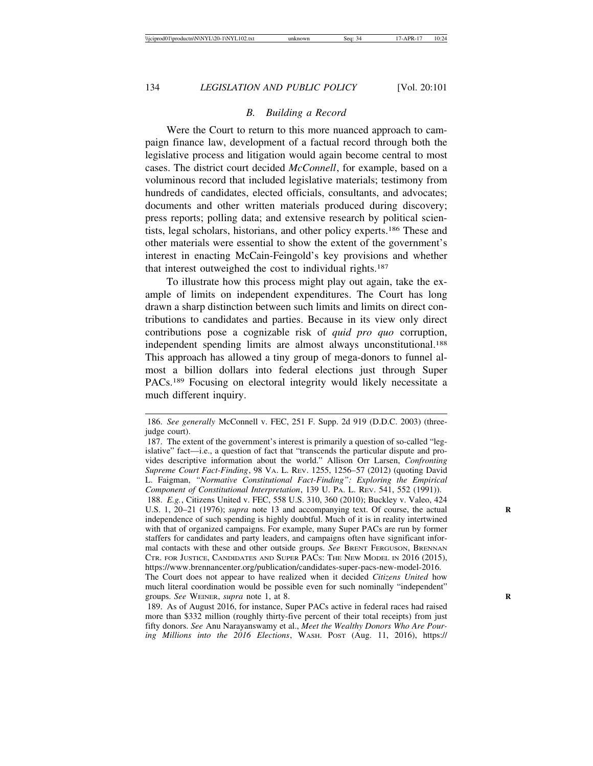# *B. Building a Record*

Were the Court to return to this more nuanced approach to campaign finance law, development of a factual record through both the legislative process and litigation would again become central to most cases. The district court decided *McConnell*, for example, based on a voluminous record that included legislative materials; testimony from hundreds of candidates, elected officials, consultants, and advocates; documents and other written materials produced during discovery; press reports; polling data; and extensive research by political scientists, legal scholars, historians, and other policy experts.186 These and other materials were essential to show the extent of the government's interest in enacting McCain-Feingold's key provisions and whether that interest outweighed the cost to individual rights.187

To illustrate how this process might play out again, take the example of limits on independent expenditures. The Court has long drawn a sharp distinction between such limits and limits on direct contributions to candidates and parties. Because in its view only direct contributions pose a cognizable risk of *quid pro quo* corruption, independent spending limits are almost always unconstitutional.188 This approach has allowed a tiny group of mega-donors to funnel almost a billion dollars into federal elections just through Super PACs.189 Focusing on electoral integrity would likely necessitate a much different inquiry.

188. *E.g.*, Citizens United v. FEC, 558 U.S. 310, 360 (2010); Buckley v. Valeo, 424 U.S. 1, 20–21 (1976); *supra* note 13 and accompanying text. Of course, the actual independence of such spending is highly doubtful. Much of it is in reality intertwined with that of organized campaigns. For example, many Super PACs are run by former staffers for candidates and party leaders, and campaigns often have significant informal contacts with these and other outside groups. *See* BRENT FERGUSON, BRENNAN CTR. FOR JUSTICE, CANDIDATES AND SUPER PACS: THE NEW MODEL IN 2016 (2015), https://www.brennancenter.org/publication/candidates-super-pacs-new-model-2016.

<sup>186.</sup> *See generally* McConnell v. FEC, 251 F. Supp. 2d 919 (D.D.C. 2003) (threejudge court).

<sup>187.</sup> The extent of the government's interest is primarily a question of so-called "legislative" fact—i.e., a question of fact that "transcends the particular dispute and provides descriptive information about the world." Allison Orr Larsen, *Confronting Supreme Court Fact-Finding*, 98 VA. L. REV. 1255, 1256–57 (2012) (quoting David L. Faigman, *"Normative Constitutional Fact-Finding": Exploring the Empirical Component of Constitutional Interpretation*, 139 U. PA. L. REV. 541, 552 (1991)).

The Court does not appear to have realized when it decided *Citizens United* how much literal coordination would be possible even for such nominally "independent" groups. *See* WEINER, *supra* note 1, at 8. **R**

<sup>189.</sup> As of August 2016, for instance, Super PACs active in federal races had raised more than \$332 million (roughly thirty-five percent of their total receipts) from just fifty donors. *See* Anu Narayanswamy et al., *Meet the Wealthy Donors Who Are Pouring Millions into the 2016 Elections*, WASH. POST (Aug. 11, 2016), https://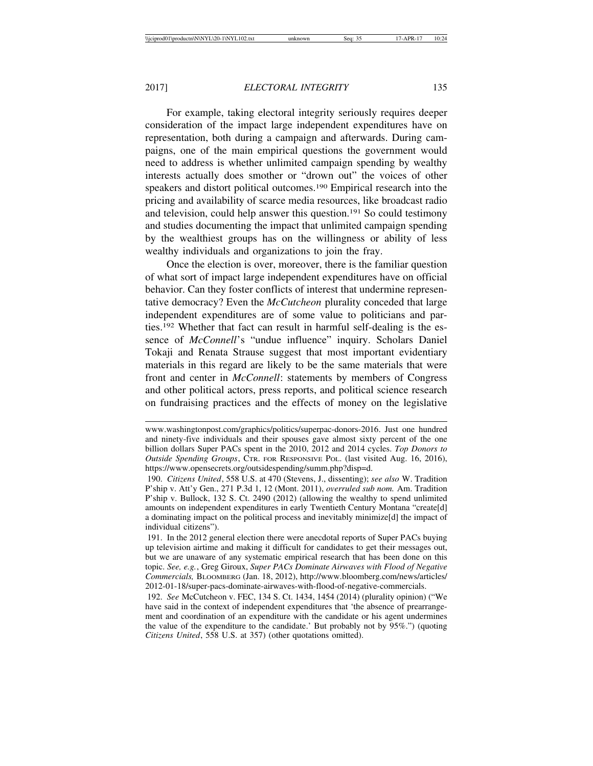For example, taking electoral integrity seriously requires deeper consideration of the impact large independent expenditures have on representation, both during a campaign and afterwards. During campaigns, one of the main empirical questions the government would need to address is whether unlimited campaign spending by wealthy interests actually does smother or "drown out" the voices of other speakers and distort political outcomes.190 Empirical research into the pricing and availability of scarce media resources, like broadcast radio and television, could help answer this question.191 So could testimony and studies documenting the impact that unlimited campaign spending by the wealthiest groups has on the willingness or ability of less wealthy individuals and organizations to join the fray.

Once the election is over, moreover, there is the familiar question of what sort of impact large independent expenditures have on official behavior. Can they foster conflicts of interest that undermine representative democracy? Even the *McCutcheon* plurality conceded that large independent expenditures are of some value to politicians and parties.192 Whether that fact can result in harmful self-dealing is the essence of *McConnell*'s "undue influence" inquiry. Scholars Daniel Tokaji and Renata Strause suggest that most important evidentiary materials in this regard are likely to be the same materials that were front and center in *McConnell*: statements by members of Congress and other political actors, press reports, and political science research on fundraising practices and the effects of money on the legislative

www.washingtonpost.com/graphics/politics/superpac-donors-2016. Just one hundred and ninety-five individuals and their spouses gave almost sixty percent of the one billion dollars Super PACs spent in the 2010, 2012 and 2014 cycles. *Top Donors to Outside Spending Groups*, CTR. FOR RESPONSIVE POL. (last visited Aug. 16, 2016), https://www.opensecrets.org/outsidespending/summ.php?disp=d.

<sup>190.</sup> *Citizens United*, 558 U.S. at 470 (Stevens, J., dissenting); *see also* W. Tradition P'ship v. Att'y Gen., 271 P.3d 1, 12 (Mont. 2011), *overruled sub nom.* Am. Tradition P'ship v. Bullock, 132 S. Ct. 2490 (2012) (allowing the wealthy to spend unlimited amounts on independent expenditures in early Twentieth Century Montana "create[d] a dominating impact on the political process and inevitably minimize[d] the impact of individual citizens").

<sup>191.</sup> In the 2012 general election there were anecdotal reports of Super PACs buying up television airtime and making it difficult for candidates to get their messages out, but we are unaware of any systematic empirical research that has been done on this topic. *See, e.g.*, Greg Giroux, *Super PACs Dominate Airwaves with Flood of Negative Commercials,* BLOOMBERG (Jan. 18, 2012), http://www.bloomberg.com/news/articles/ 2012-01-18/super-pacs-dominate-airwaves-with-flood-of-negative-commercials.

<sup>192.</sup> *See* McCutcheon v. FEC, 134 S. Ct. 1434, 1454 (2014) (plurality opinion) ("We have said in the context of independent expenditures that 'the absence of prearrangement and coordination of an expenditure with the candidate or his agent undermines the value of the expenditure to the candidate.' But probably not by 95%.") (quoting *Citizens United*, 558 U.S. at 357) (other quotations omitted).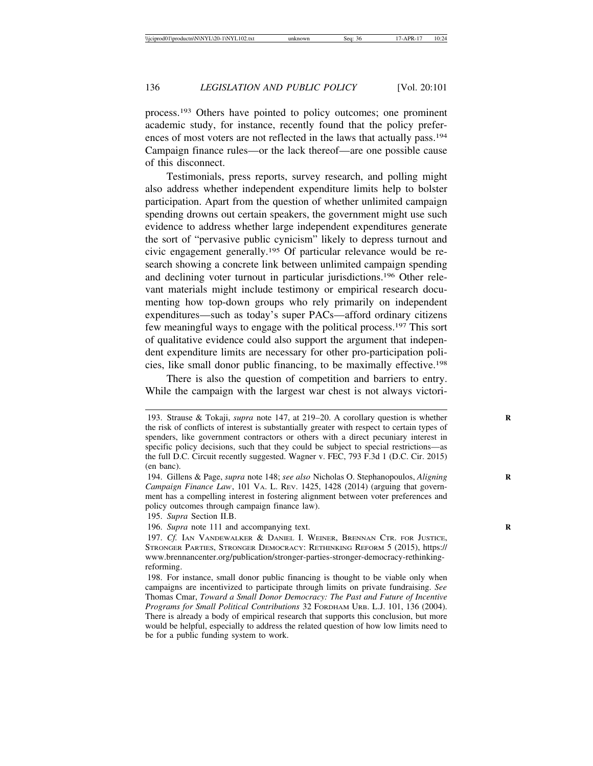process.193 Others have pointed to policy outcomes; one prominent academic study, for instance, recently found that the policy preferences of most voters are not reflected in the laws that actually pass.194 Campaign finance rules—or the lack thereof—are one possible cause of this disconnect.

Testimonials, press reports, survey research, and polling might also address whether independent expenditure limits help to bolster participation. Apart from the question of whether unlimited campaign spending drowns out certain speakers, the government might use such evidence to address whether large independent expenditures generate the sort of "pervasive public cynicism" likely to depress turnout and civic engagement generally.195 Of particular relevance would be research showing a concrete link between unlimited campaign spending and declining voter turnout in particular jurisdictions.196 Other relevant materials might include testimony or empirical research documenting how top-down groups who rely primarily on independent expenditures—such as today's super PACs—afford ordinary citizens few meaningful ways to engage with the political process.197 This sort of qualitative evidence could also support the argument that independent expenditure limits are necessary for other pro-participation policies, like small donor public financing, to be maximally effective.198

There is also the question of competition and barriers to entry. While the campaign with the largest war chest is not always victori-

<sup>193.</sup> Strause & Tokaji, *supra* note 147, at 219–20. A corollary question is whether **R** the risk of conflicts of interest is substantially greater with respect to certain types of spenders, like government contractors or others with a direct pecuniary interest in specific policy decisions, such that they could be subject to special restrictions—as the full D.C. Circuit recently suggested. Wagner v. FEC, 793 F.3d 1 (D.C. Cir. 2015) (en banc).

<sup>194.</sup> Gillens & Page, *supra* note 148; *see also* Nicholas O. Stephanopoulos, *Aligning* **R** *Campaign Finance Law*, 101 VA. L. REV. 1425, 1428 (2014) (arguing that government has a compelling interest in fostering alignment between voter preferences and policy outcomes through campaign finance law).

<sup>195.</sup> *Supra* Section II.B.

<sup>196.</sup> Supra note 111 and accompanying text.

<sup>197.</sup> *Cf.* IAN VANDEWALKER & DANIEL I. WEINER, BRENNAN CTR. FOR JUSTICE, STRONGER PARTIES, STRONGER DEMOCRACY: RETHINKING REFORM 5 (2015), https:// www.brennancenter.org/publication/stronger-parties-stronger-democracy-rethinkingreforming.

<sup>198.</sup> For instance, small donor public financing is thought to be viable only when campaigns are incentivized to participate through limits on private fundraising. *See* Thomas Cmar, *Toward a Small Donor Democracy: The Past and Future of Incentive Programs for Small Political Contributions* 32 FORDHAM URB. L.J. 101, 136 (2004). There is already a body of empirical research that supports this conclusion, but more would be helpful, especially to address the related question of how low limits need to be for a public funding system to work.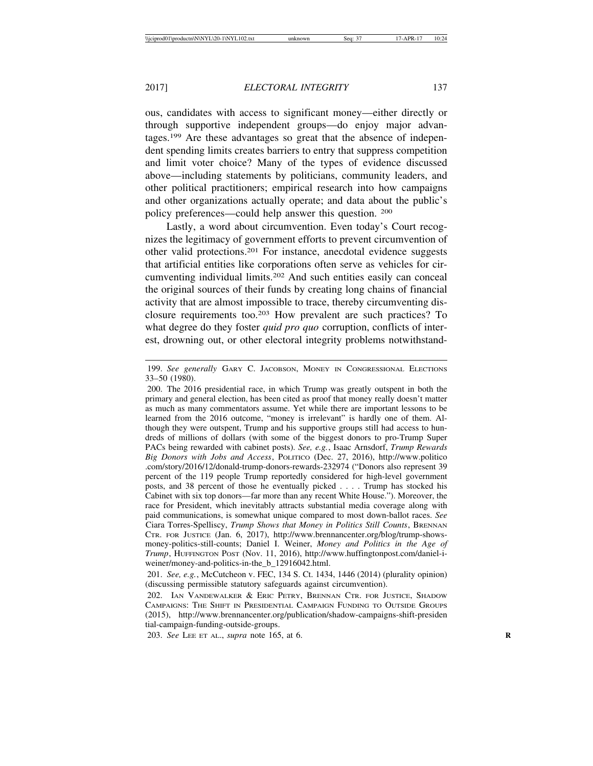ous, candidates with access to significant money—either directly or through supportive independent groups—do enjoy major advantages.199 Are these advantages so great that the absence of independent spending limits creates barriers to entry that suppress competition and limit voter choice? Many of the types of evidence discussed above—including statements by politicians, community leaders, and other political practitioners; empirical research into how campaigns and other organizations actually operate; and data about the public's policy preferences—could help answer this question. 200

Lastly, a word about circumvention. Even today's Court recognizes the legitimacy of government efforts to prevent circumvention of other valid protections.201 For instance, anecdotal evidence suggests that artificial entities like corporations often serve as vehicles for circumventing individual limits.202 And such entities easily can conceal the original sources of their funds by creating long chains of financial activity that are almost impossible to trace, thereby circumventing disclosure requirements too.203 How prevalent are such practices? To what degree do they foster *quid pro quo* corruption, conflicts of interest, drowning out, or other electoral integrity problems notwithstand-

203. *See* LEE ET AL., *supra* note 165, at 6. **R**

<sup>199.</sup> *See generally* GARY C. JACOBSON, MONEY IN CONGRESSIONAL ELECTIONS 33–50 (1980).

<sup>200.</sup> The 2016 presidential race, in which Trump was greatly outspent in both the primary and general election, has been cited as proof that money really doesn't matter as much as many commentators assume. Yet while there are important lessons to be learned from the 2016 outcome, "money is irrelevant" is hardly one of them. Although they were outspent, Trump and his supportive groups still had access to hundreds of millions of dollars (with some of the biggest donors to pro-Trump Super PACs being rewarded with cabinet posts). *See, e.g.*, Isaac Arnsdorf, *Trump Rewards Big Donors with Jobs and Access*, POLITICO (Dec. 27, 2016), http://www.politico .com/story/2016/12/donald-trump-donors-rewards-232974 ("Donors also represent 39 percent of the 119 people Trump reportedly considered for high-level government posts, and 38 percent of those he eventually picked . . . . Trump has stocked his Cabinet with six top donors—far more than any recent White House."). Moreover, the race for President, which inevitably attracts substantial media coverage along with paid communications, is somewhat unique compared to most down-ballot races. *See* Ciara Torres-Spelliscy, *Trump Shows that Money in Politics Still Counts*, BRENNAN CTR. FOR JUSTICE (Jan. 6, 2017), http://www.brennancenter.org/blog/trump-showsmoney-politics-still-counts; Daniel I. Weiner, *Money and Politics in the Age of Trump*, HUFFINGTON POST (Nov. 11, 2016), http://www.huffingtonpost.com/daniel-iweiner/money-and-politics-in-the\_b\_12916042.html.

<sup>201.</sup> *See, e.g.*, McCutcheon v. FEC, 134 S. Ct. 1434, 1446 (2014) (plurality opinion) (discussing permissible statutory safeguards against circumvention).

<sup>202.</sup> IAN VANDEWALKER & ERIC PETRY, BRENNAN CTR. FOR JUSTICE, SHADOW CAMPAIGNS: THE SHIFT IN PRESIDENTIAL CAMPAIGN FUNDING TO OUTSIDE GROUPS (2015), http://www.brennancenter.org/publication/shadow-campaigns-shift-presiden tial-campaign-funding-outside-groups.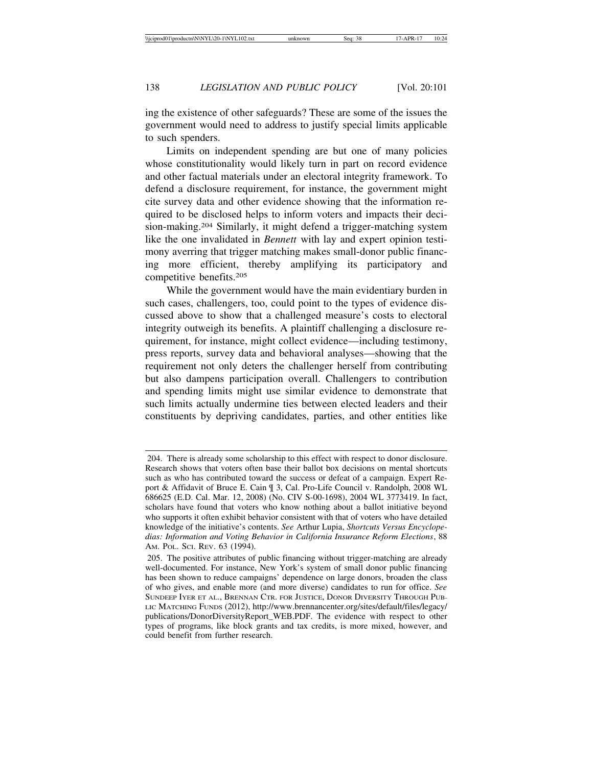ing the existence of other safeguards? These are some of the issues the government would need to address to justify special limits applicable to such spenders.

Limits on independent spending are but one of many policies whose constitutionality would likely turn in part on record evidence and other factual materials under an electoral integrity framework. To defend a disclosure requirement, for instance, the government might cite survey data and other evidence showing that the information required to be disclosed helps to inform voters and impacts their decision-making.204 Similarly, it might defend a trigger-matching system like the one invalidated in *Bennett* with lay and expert opinion testimony averring that trigger matching makes small-donor public financing more efficient, thereby amplifying its participatory and competitive benefits.205

While the government would have the main evidentiary burden in such cases, challengers, too, could point to the types of evidence discussed above to show that a challenged measure's costs to electoral integrity outweigh its benefits. A plaintiff challenging a disclosure requirement, for instance, might collect evidence—including testimony, press reports, survey data and behavioral analyses—showing that the requirement not only deters the challenger herself from contributing but also dampens participation overall. Challengers to contribution and spending limits might use similar evidence to demonstrate that such limits actually undermine ties between elected leaders and their constituents by depriving candidates, parties, and other entities like

<sup>204.</sup> There is already some scholarship to this effect with respect to donor disclosure. Research shows that voters often base their ballot box decisions on mental shortcuts such as who has contributed toward the success or defeat of a campaign. Expert Report & Affidavit of Bruce E. Cain ¶ 3, Cal. Pro-Life Council v. Randolph, 2008 WL 686625 (E.D. Cal. Mar. 12, 2008) (No. CIV S-00-1698), 2004 WL 3773419. In fact, scholars have found that voters who know nothing about a ballot initiative beyond who supports it often exhibit behavior consistent with that of voters who have detailed knowledge of the initiative's contents. *See* Arthur Lupia, *Shortcuts Versus Encyclopedias: Information and Voting Behavior in California Insurance Reform Elections*, 88 AM. POL. SCI. REV. 63 (1994).

<sup>205.</sup> The positive attributes of public financing without trigger-matching are already well-documented. For instance, New York's system of small donor public financing has been shown to reduce campaigns' dependence on large donors, broaden the class of who gives, and enable more (and more diverse) candidates to run for office. *See* SUNDEEP IYER ET AL., BRENNAN CTR. FOR JUSTICE, DONOR DIVERSITY THROUGH PUB-LIC MATCHING FUNDS (2012), http://www.brennancenter.org/sites/default/files/legacy/ publications/DonorDiversityReport\_WEB.PDF. The evidence with respect to other types of programs, like block grants and tax credits, is more mixed, however, and could benefit from further research.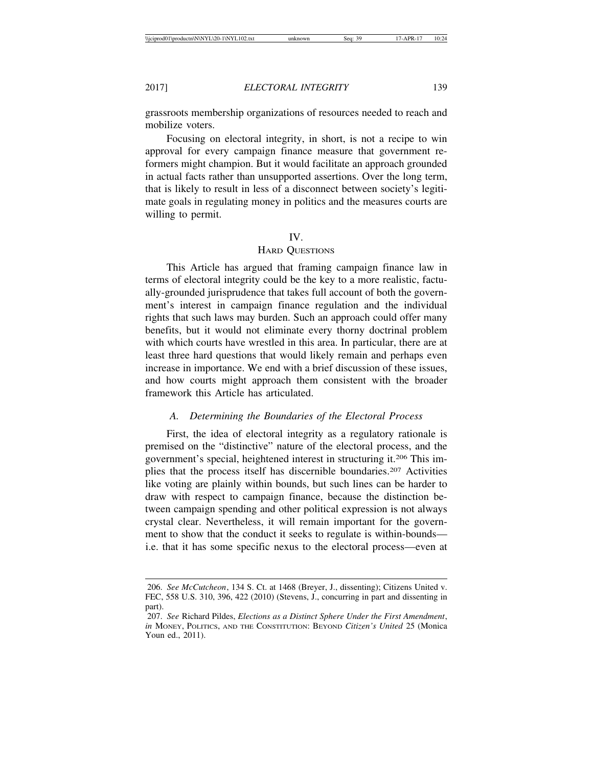grassroots membership organizations of resources needed to reach and mobilize voters.

Focusing on electoral integrity, in short, is not a recipe to win approval for every campaign finance measure that government reformers might champion. But it would facilitate an approach grounded in actual facts rather than unsupported assertions. Over the long term, that is likely to result in less of a disconnect between society's legitimate goals in regulating money in politics and the measures courts are willing to permit.

### IV.

## HARD QUESTIONS

This Article has argued that framing campaign finance law in terms of electoral integrity could be the key to a more realistic, factually-grounded jurisprudence that takes full account of both the government's interest in campaign finance regulation and the individual rights that such laws may burden. Such an approach could offer many benefits, but it would not eliminate every thorny doctrinal problem with which courts have wrestled in this area. In particular, there are at least three hard questions that would likely remain and perhaps even increase in importance. We end with a brief discussion of these issues, and how courts might approach them consistent with the broader framework this Article has articulated.

# *A. Determining the Boundaries of the Electoral Process*

First, the idea of electoral integrity as a regulatory rationale is premised on the "distinctive" nature of the electoral process, and the government's special, heightened interest in structuring it.206 This implies that the process itself has discernible boundaries.207 Activities like voting are plainly within bounds, but such lines can be harder to draw with respect to campaign finance, because the distinction between campaign spending and other political expression is not always crystal clear. Nevertheless, it will remain important for the government to show that the conduct it seeks to regulate is within-bounds i.e. that it has some specific nexus to the electoral process—even at

<sup>206.</sup> *See McCutcheon*, 134 S. Ct. at 1468 (Breyer, J., dissenting); Citizens United v. FEC, 558 U.S. 310, 396, 422 (2010) (Stevens, J., concurring in part and dissenting in part).

<sup>207.</sup> *See* Richard Pildes, *Elections as a Distinct Sphere Under the First Amendment*, *in* MONEY, POLITICS, AND THE CONSTITUTION: BEYOND *Citizen's United* 25 (Monica Youn ed., 2011).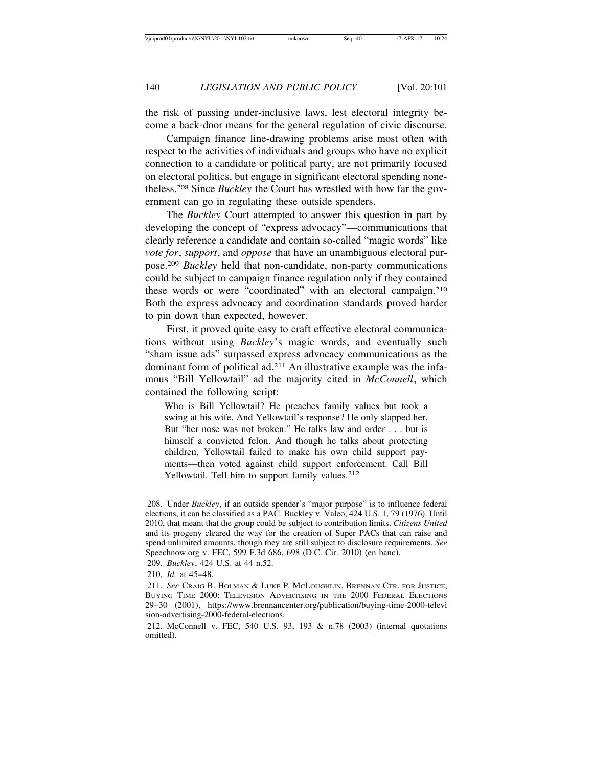the risk of passing under-inclusive laws, lest electoral integrity become a back-door means for the general regulation of civic discourse.

Campaign finance line-drawing problems arise most often with respect to the activities of individuals and groups who have no explicit connection to a candidate or political party, are not primarily focused on electoral politics, but engage in significant electoral spending nonetheless.208 Since *Buckley* the Court has wrestled with how far the government can go in regulating these outside spenders.

The *Buckley* Court attempted to answer this question in part by developing the concept of "express advocacy"—communications that clearly reference a candidate and contain so-called "magic words" like *vote for*, *support*, and *oppose* that have an unambiguous electoral purpose.209 *Buckley* held that non-candidate, non-party communications could be subject to campaign finance regulation only if they contained these words or were "coordinated" with an electoral campaign.210 Both the express advocacy and coordination standards proved harder to pin down than expected, however.

First, it proved quite easy to craft effective electoral communications without using *Buckley*'s magic words, and eventually such "sham issue ads" surpassed express advocacy communications as the dominant form of political ad.211 An illustrative example was the infamous "Bill Yellowtail" ad the majority cited in *McConnell*, which contained the following script:

Who is Bill Yellowtail? He preaches family values but took a swing at his wife. And Yellowtail's response? He only slapped her. But "her nose was not broken." He talks law and order . . . but is himself a convicted felon. And though he talks about protecting children, Yellowtail failed to make his own child support payments—then voted against child support enforcement. Call Bill Yellowtail. Tell him to support family values.<sup>212</sup>

<sup>208.</sup> Under *Buckley*, if an outside spender's "major purpose" is to influence federal elections, it can be classified as a PAC. Buckley v. Valeo, 424 U.S. 1, 79 (1976). Until 2010, that meant that the group could be subject to contribution limits. *Citizens United* and its progeny cleared the way for the creation of Super PACs that can raise and spend unlimited amounts, though they are still subject to disclosure requirements. *See* Speechnow.org v. FEC, 599 F.3d 686, 698 (D.C. Cir. 2010) (en banc).

<sup>209.</sup> *Buckley*, 424 U.S. at 44 n.52.

<sup>210.</sup> *Id.* at 45–48.

<sup>211.</sup> *See* CRAIG B. HOLMAN & LUKE P. MCLOUGHLIN, BRENNAN CTR. FOR JUSTICE, BUYING TIME 2000: TELEVISION ADVERTISING IN THE 2000 FEDERAL ELECTIONS 29–30 (2001), https://www.brennancenter.org/publication/buying-time-2000-televi sion-advertising-2000-federal-elections.

<sup>212.</sup> McConnell v. FEC, 540 U.S. 93, 193 & n.78 (2003) (internal quotations omitted).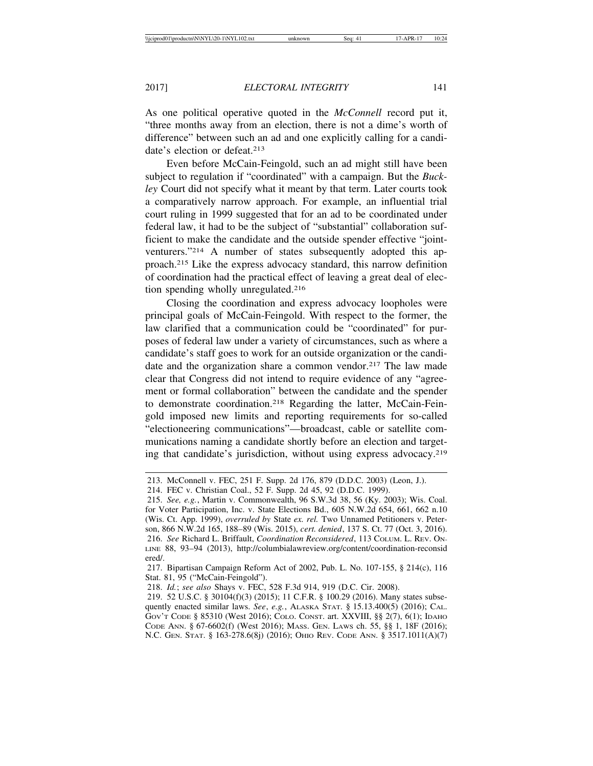As one political operative quoted in the *McConnell* record put it, "three months away from an election, there is not a dime's worth of difference" between such an ad and one explicitly calling for a candidate's election or defeat.<sup>213</sup>

Even before McCain-Feingold, such an ad might still have been subject to regulation if "coordinated" with a campaign. But the *Buckley* Court did not specify what it meant by that term. Later courts took a comparatively narrow approach. For example, an influential trial court ruling in 1999 suggested that for an ad to be coordinated under federal law, it had to be the subject of "substantial" collaboration sufficient to make the candidate and the outside spender effective "jointventurers."214 A number of states subsequently adopted this approach.215 Like the express advocacy standard, this narrow definition of coordination had the practical effect of leaving a great deal of election spending wholly unregulated.216

Closing the coordination and express advocacy loopholes were principal goals of McCain-Feingold. With respect to the former, the law clarified that a communication could be "coordinated" for purposes of federal law under a variety of circumstances, such as where a candidate's staff goes to work for an outside organization or the candidate and the organization share a common vendor.<sup>217</sup> The law made clear that Congress did not intend to require evidence of any "agreement or formal collaboration" between the candidate and the spender to demonstrate coordination.218 Regarding the latter, McCain-Feingold imposed new limits and reporting requirements for so-called "electioneering communications"—broadcast, cable or satellite communications naming a candidate shortly before an election and targeting that candidate's jurisdiction, without using express advocacy.219

<sup>213.</sup> McConnell v. FEC, 251 F. Supp. 2d 176, 879 (D.D.C. 2003) (Leon, J.).

<sup>214.</sup> FEC v. Christian Coal., 52 F. Supp. 2d 45, 92 (D.D.C. 1999).

<sup>215.</sup> *See, e.g.*, Martin v. Commonwealth, 96 S.W.3d 38, 56 (Ky. 2003); Wis. Coal. for Voter Participation, Inc. v. State Elections Bd., 605 N.W.2d 654, 661, 662 n.10 (Wis. Ct. App. 1999), *overruled by* State *ex. rel.* Two Unnamed Petitioners v. Peterson, 866 N.W.2d 165, 188–89 (Wis. 2015), *cert. denied*, 137 S. Ct. 77 (Oct. 3, 2016). 216. *See* Richard L. Briffault, *Coordination Reconsidered*, 113 COLUM. L. REV. ON-LINE 88, 93–94 (2013), http://columbialawreview.org/content/coordination-reconsid ered/.

<sup>217.</sup> Bipartisan Campaign Reform Act of 2002, Pub. L. No. 107-155, § 214(c), 116 Stat. 81, 95 ("McCain-Feingold").

<sup>218.</sup> *Id.*; *see also* Shays v. FEC, 528 F.3d 914, 919 (D.C. Cir. 2008).

<sup>219. 52</sup> U.S.C. § 30104(f)(3) (2015); 11 C.F.R. § 100.29 (2016). Many states subsequently enacted similar laws. *See*, *e.g.*, ALASKA STAT. § 15.13.400(5) (2016); CAL. GOV'T CODE § 85310 (West 2016); COLO. CONST. art. XXVIII, §§ 2(7), 6(1); IDAHO CODE ANN. § 67-6602(f) (West 2016); MASS. GEN. LAWS ch. 55, §§ 1, 18F (2016); N.C. GEN. STAT. § 163-278.6(8j) (2016); OHIO REV. CODE ANN. § 3517.1011(A)(7)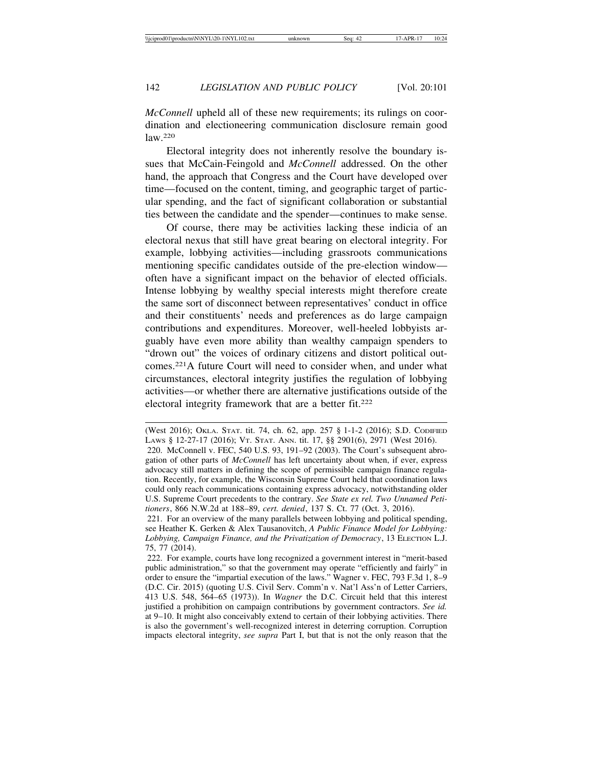*McConnell* upheld all of these new requirements; its rulings on coordination and electioneering communication disclosure remain good law.220

Electoral integrity does not inherently resolve the boundary issues that McCain-Feingold and *McConnell* addressed. On the other hand, the approach that Congress and the Court have developed over time—focused on the content, timing, and geographic target of particular spending, and the fact of significant collaboration or substantial ties between the candidate and the spender—continues to make sense.

Of course, there may be activities lacking these indicia of an electoral nexus that still have great bearing on electoral integrity. For example, lobbying activities—including grassroots communications mentioning specific candidates outside of the pre-election window often have a significant impact on the behavior of elected officials. Intense lobbying by wealthy special interests might therefore create the same sort of disconnect between representatives' conduct in office and their constituents' needs and preferences as do large campaign contributions and expenditures. Moreover, well-heeled lobbyists arguably have even more ability than wealthy campaign spenders to "drown out" the voices of ordinary citizens and distort political outcomes.221A future Court will need to consider when, and under what circumstances, electoral integrity justifies the regulation of lobbying activities—or whether there are alternative justifications outside of the electoral integrity framework that are a better fit.<sup>222</sup>

<sup>(</sup>West 2016); OKLA. STAT. tit. 74, ch. 62, app. 257 § 1-1-2 (2016); S.D. CODIFIED LAWS § 12-27-17 (2016); VT. STAT. ANN. tit. 17, §§ 2901(6), 2971 (West 2016). 220. McConnell v. FEC, 540 U.S. 93, 191–92 (2003). The Court's subsequent abrogation of other parts of *McConnell* has left uncertainty about when, if ever, express advocacy still matters in defining the scope of permissible campaign finance regulation. Recently, for example, the Wisconsin Supreme Court held that coordination laws could only reach communications containing express advocacy, notwithstanding older U.S. Supreme Court precedents to the contrary. *See State ex rel. Two Unnamed Petitioners*, 866 N.W.2d at 188–89, *cert. denied*, 137 S. Ct. 77 (Oct. 3, 2016).

<sup>221.</sup> For an overview of the many parallels between lobbying and political spending, see Heather K. Gerken & Alex Tausanovitch, *A Public Finance Model for Lobbying: Lobbying, Campaign Finance, and the Privatization of Democracy*, 13 ELECTION L.J. 75, 77 (2014).

<sup>222.</sup> For example, courts have long recognized a government interest in "merit-based public administration," so that the government may operate "efficiently and fairly" in order to ensure the "impartial execution of the laws." Wagner v. FEC, 793 F.3d 1, 8–9 (D.C. Cir. 2015) (quoting U.S. Civil Serv. Comm'n v. Nat'l Ass'n of Letter Carriers, 413 U.S. 548, 564–65 (1973)). In *Wagner* the D.C. Circuit held that this interest justified a prohibition on campaign contributions by government contractors. *See id.* at 9–10. It might also conceivably extend to certain of their lobbying activities. There is also the government's well-recognized interest in deterring corruption. Corruption impacts electoral integrity, *see supra* Part I, but that is not the only reason that the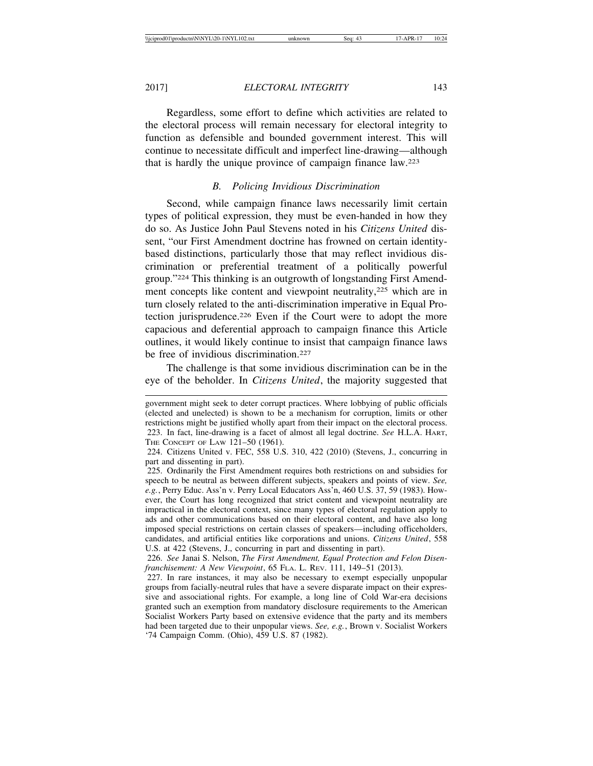Regardless, some effort to define which activities are related to the electoral process will remain necessary for electoral integrity to function as defensible and bounded government interest. This will continue to necessitate difficult and imperfect line-drawing—although that is hardly the unique province of campaign finance law.223

# *B. Policing Invidious Discrimination*

Second, while campaign finance laws necessarily limit certain types of political expression, they must be even-handed in how they do so. As Justice John Paul Stevens noted in his *Citizens United* dissent, "our First Amendment doctrine has frowned on certain identitybased distinctions, particularly those that may reflect invidious discrimination or preferential treatment of a politically powerful group."224 This thinking is an outgrowth of longstanding First Amendment concepts like content and viewpoint neutrality,<sup>225</sup> which are in turn closely related to the anti-discrimination imperative in Equal Protection jurisprudence.226 Even if the Court were to adopt the more capacious and deferential approach to campaign finance this Article outlines, it would likely continue to insist that campaign finance laws be free of invidious discrimination<sup>227</sup>

The challenge is that some invidious discrimination can be in the eye of the beholder. In *Citizens United*, the majority suggested that

government might seek to deter corrupt practices. Where lobbying of public officials (elected and unelected) is shown to be a mechanism for corruption, limits or other restrictions might be justified wholly apart from their impact on the electoral process. 223. In fact, line-drawing is a facet of almost all legal doctrine. *See* H.L.A. HART, THE CONCEPT OF LAW 121–50 (1961).

<sup>224.</sup> Citizens United v. FEC, 558 U.S. 310, 422 (2010) (Stevens, J., concurring in part and dissenting in part).

<sup>225.</sup> Ordinarily the First Amendment requires both restrictions on and subsidies for speech to be neutral as between different subjects, speakers and points of view. *See, e.g.*, Perry Educ. Ass'n v. Perry Local Educators Ass'n, 460 U.S. 37, 59 (1983). However, the Court has long recognized that strict content and viewpoint neutrality are impractical in the electoral context, since many types of electoral regulation apply to ads and other communications based on their electoral content, and have also long imposed special restrictions on certain classes of speakers—including officeholders, candidates, and artificial entities like corporations and unions. *Citizens United*, 558 U.S. at 422 (Stevens, J., concurring in part and dissenting in part).

<sup>226.</sup> *See* Janai S. Nelson, *The First Amendment, Equal Protection and Felon Disenfranchisement: A New Viewpoint*, 65 FLA. L. REV. 111, 149–51 (2013).

<sup>227.</sup> In rare instances, it may also be necessary to exempt especially unpopular groups from facially-neutral rules that have a severe disparate impact on their expressive and associational rights. For example, a long line of Cold War-era decisions granted such an exemption from mandatory disclosure requirements to the American Socialist Workers Party based on extensive evidence that the party and its members had been targeted due to their unpopular views. *See, e.g.*, Brown v. Socialist Workers '74 Campaign Comm. (Ohio), 459 U.S. 87 (1982).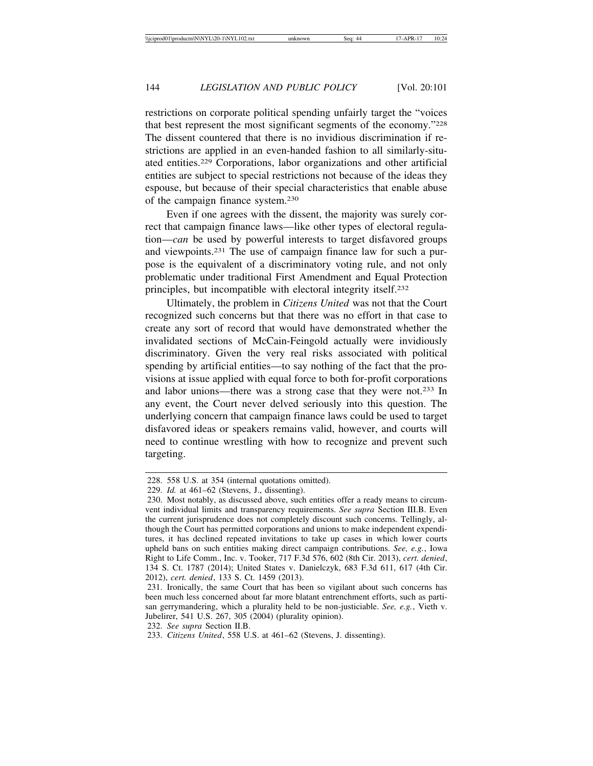restrictions on corporate political spending unfairly target the "voices that best represent the most significant segments of the economy."228 The dissent countered that there is no invidious discrimination if restrictions are applied in an even-handed fashion to all similarly-situated entities.229 Corporations, labor organizations and other artificial entities are subject to special restrictions not because of the ideas they espouse, but because of their special characteristics that enable abuse of the campaign finance system.230

Even if one agrees with the dissent, the majority was surely correct that campaign finance laws—like other types of electoral regulation—*can* be used by powerful interests to target disfavored groups and viewpoints.231 The use of campaign finance law for such a purpose is the equivalent of a discriminatory voting rule, and not only problematic under traditional First Amendment and Equal Protection principles, but incompatible with electoral integrity itself.232

Ultimately, the problem in *Citizens United* was not that the Court recognized such concerns but that there was no effort in that case to create any sort of record that would have demonstrated whether the invalidated sections of McCain-Feingold actually were invidiously discriminatory. Given the very real risks associated with political spending by artificial entities—to say nothing of the fact that the provisions at issue applied with equal force to both for-profit corporations and labor unions—there was a strong case that they were not.233 In any event, the Court never delved seriously into this question. The underlying concern that campaign finance laws could be used to target disfavored ideas or speakers remains valid, however, and courts will need to continue wrestling with how to recognize and prevent such targeting.

232. *See supra* Section II.B.

<sup>228. 558</sup> U.S. at 354 (internal quotations omitted).

<sup>229.</sup> *Id.* at 461–62 (Stevens, J., dissenting).

<sup>230.</sup> Most notably, as discussed above, such entities offer a ready means to circumvent individual limits and transparency requirements. *See supra* Section III.B. Even the current jurisprudence does not completely discount such concerns. Tellingly, although the Court has permitted corporations and unions to make independent expenditures, it has declined repeated invitations to take up cases in which lower courts upheld bans on such entities making direct campaign contributions. *See, e.g.*, Iowa Right to Life Comm., Inc. v. Tooker, 717 F.3d 576, 602 (8th Cir. 2013), *cert. denied*, 134 S. Ct. 1787 (2014); United States v. Danielczyk, 683 F.3d 611, 617 (4th Cir. 2012), *cert. denied*, 133 S. Ct. 1459 (2013).

<sup>231.</sup> Ironically, the same Court that has been so vigilant about such concerns has been much less concerned about far more blatant entrenchment efforts, such as partisan gerrymandering, which a plurality held to be non-justiciable. *See, e.g.*, Vieth v. Jubelirer, 541 U.S. 267, 305 (2004) (plurality opinion).

<sup>233.</sup> *Citizens United*, 558 U.S. at 461–62 (Stevens, J. dissenting).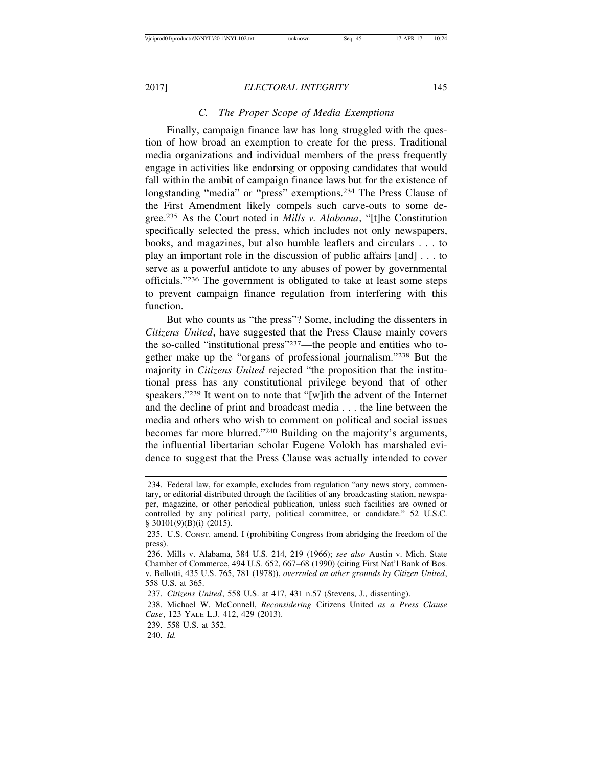# *C. The Proper Scope of Media Exemptions*

Finally, campaign finance law has long struggled with the question of how broad an exemption to create for the press. Traditional media organizations and individual members of the press frequently engage in activities like endorsing or opposing candidates that would fall within the ambit of campaign finance laws but for the existence of longstanding "media" or "press" exemptions.234 The Press Clause of the First Amendment likely compels such carve-outs to some degree.235 As the Court noted in *Mills v. Alabama*, "[t]he Constitution specifically selected the press, which includes not only newspapers, books, and magazines, but also humble leaflets and circulars . . . to play an important role in the discussion of public affairs [and] . . . to serve as a powerful antidote to any abuses of power by governmental officials."236 The government is obligated to take at least some steps to prevent campaign finance regulation from interfering with this function.

But who counts as "the press"? Some, including the dissenters in *Citizens United*, have suggested that the Press Clause mainly covers the so-called "institutional press"237—the people and entities who together make up the "organs of professional journalism."238 But the majority in *Citizens United* rejected "the proposition that the institutional press has any constitutional privilege beyond that of other speakers."239 It went on to note that "[w]ith the advent of the Internet and the decline of print and broadcast media . . . the line between the media and others who wish to comment on political and social issues becomes far more blurred."240 Building on the majority's arguments, the influential libertarian scholar Eugene Volokh has marshaled evidence to suggest that the Press Clause was actually intended to cover

<sup>234.</sup> Federal law, for example, excludes from regulation "any news story, commentary, or editorial distributed through the facilities of any broadcasting station, newspaper, magazine, or other periodical publication, unless such facilities are owned or controlled by any political party, political committee, or candidate." 52 U.S.C. § 30101(9)(B)(i) (2015).

<sup>235.</sup> U.S. CONST. amend. I (prohibiting Congress from abridging the freedom of the press).

<sup>236.</sup> Mills v. Alabama, 384 U.S. 214, 219 (1966); *see also* Austin v. Mich. State Chamber of Commerce, 494 U.S. 652, 667–68 (1990) (citing First Nat'l Bank of Bos. v. Bellotti, 435 U.S. 765, 781 (1978)), *overruled on other grounds by Citizen United*, 558 U.S. at 365.

<sup>237.</sup> *Citizens United*, 558 U.S. at 417, 431 n.57 (Stevens, J., dissenting).

<sup>238.</sup> Michael W. McConnell, *Reconsidering* Citizens United *as a Press Clause Case*, 123 YALE L.J. 412, 429 (2013).

<sup>239. 558</sup> U.S. at 352.

<sup>240.</sup> *Id.*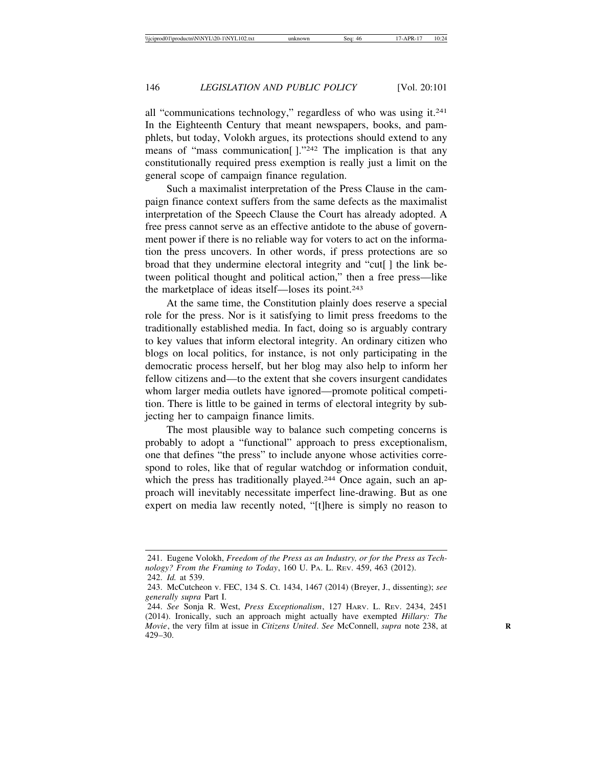all "communications technology," regardless of who was using it.241 In the Eighteenth Century that meant newspapers, books, and pamphlets, but today, Volokh argues, its protections should extend to any means of "mass communication  $\left[ \cdot \right]$ ."<sup>242</sup> The implication is that any constitutionally required press exemption is really just a limit on the general scope of campaign finance regulation.

Such a maximalist interpretation of the Press Clause in the campaign finance context suffers from the same defects as the maximalist interpretation of the Speech Clause the Court has already adopted. A free press cannot serve as an effective antidote to the abuse of government power if there is no reliable way for voters to act on the information the press uncovers. In other words, if press protections are so broad that they undermine electoral integrity and "cut[ ] the link between political thought and political action," then a free press—like the marketplace of ideas itself—loses its point.243

At the same time, the Constitution plainly does reserve a special role for the press. Nor is it satisfying to limit press freedoms to the traditionally established media. In fact, doing so is arguably contrary to key values that inform electoral integrity. An ordinary citizen who blogs on local politics, for instance, is not only participating in the democratic process herself, but her blog may also help to inform her fellow citizens and—to the extent that she covers insurgent candidates whom larger media outlets have ignored—promote political competition. There is little to be gained in terms of electoral integrity by subjecting her to campaign finance limits.

The most plausible way to balance such competing concerns is probably to adopt a "functional" approach to press exceptionalism, one that defines "the press" to include anyone whose activities correspond to roles, like that of regular watchdog or information conduit, which the press has traditionally played.<sup>244</sup> Once again, such an approach will inevitably necessitate imperfect line-drawing. But as one expert on media law recently noted, "[t]here is simply no reason to

<sup>241.</sup> Eugene Volokh, *Freedom of the Press as an Industry, or for the Press as Technology? From the Framing to Today*, 160 U. PA. L. REV. 459, 463 (2012). 242. *Id.* at 539.

<sup>243.</sup> McCutcheon v. FEC, 134 S. Ct. 1434, 1467 (2014) (Breyer, J., dissenting); *see generally supra* Part I.

<sup>244.</sup> *See* Sonja R. West, *Press Exceptionalism*, 127 HARV. L. REV. 2434, 2451 (2014). Ironically, such an approach might actually have exempted *Hillary: The Movie*, the very film at issue in *Citizens United. See McConnell, supra note 238, at* 429–30.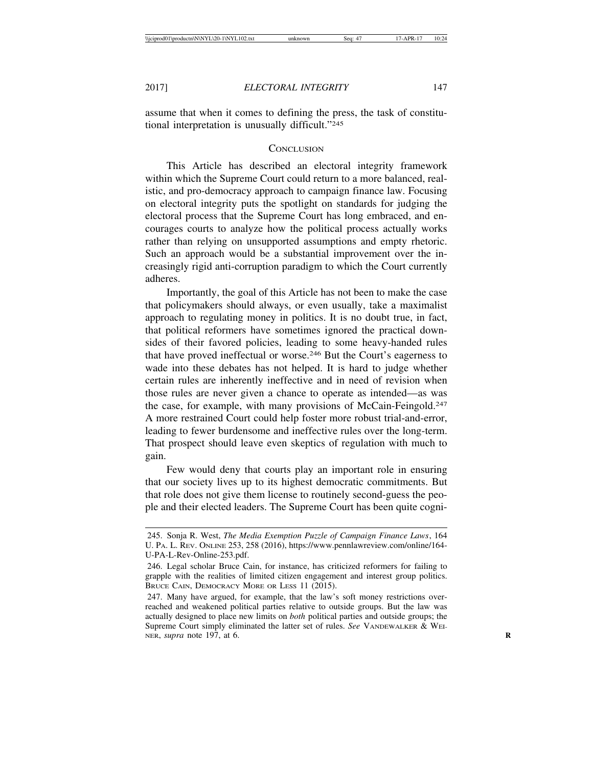assume that when it comes to defining the press, the task of constitutional interpretation is unusually difficult."245

### **CONCLUSION**

This Article has described an electoral integrity framework within which the Supreme Court could return to a more balanced, realistic, and pro-democracy approach to campaign finance law. Focusing on electoral integrity puts the spotlight on standards for judging the electoral process that the Supreme Court has long embraced, and encourages courts to analyze how the political process actually works rather than relying on unsupported assumptions and empty rhetoric. Such an approach would be a substantial improvement over the increasingly rigid anti-corruption paradigm to which the Court currently adheres.

Importantly, the goal of this Article has not been to make the case that policymakers should always, or even usually, take a maximalist approach to regulating money in politics. It is no doubt true, in fact, that political reformers have sometimes ignored the practical downsides of their favored policies, leading to some heavy-handed rules that have proved ineffectual or worse.246 But the Court's eagerness to wade into these debates has not helped. It is hard to judge whether certain rules are inherently ineffective and in need of revision when those rules are never given a chance to operate as intended—as was the case, for example, with many provisions of McCain-Feingold.<sup>247</sup> A more restrained Court could help foster more robust trial-and-error, leading to fewer burdensome and ineffective rules over the long-term. That prospect should leave even skeptics of regulation with much to gain.

Few would deny that courts play an important role in ensuring that our society lives up to its highest democratic commitments. But that role does not give them license to routinely second-guess the people and their elected leaders. The Supreme Court has been quite cogni-

<sup>245.</sup> Sonja R. West, *The Media Exemption Puzzle of Campaign Finance Laws*, 164 U. PA. L. REV. ONLINE 253, 258 (2016), https://www.pennlawreview.com/online/164- U-PA-L-Rev-Online-253.pdf.

<sup>246.</sup> Legal scholar Bruce Cain, for instance, has criticized reformers for failing to grapple with the realities of limited citizen engagement and interest group politics. BRUCE CAIN, DEMOCRACY MORE OR LESS 11 (2015).

<sup>247.</sup> Many have argued, for example, that the law's soft money restrictions overreached and weakened political parties relative to outside groups. But the law was actually designed to place new limits on *both* political parties and outside groups; the Supreme Court simply eliminated the latter set of rules. *See VANDEWALKER & WEI-*NER, *supra* note 197, at 6. **R**